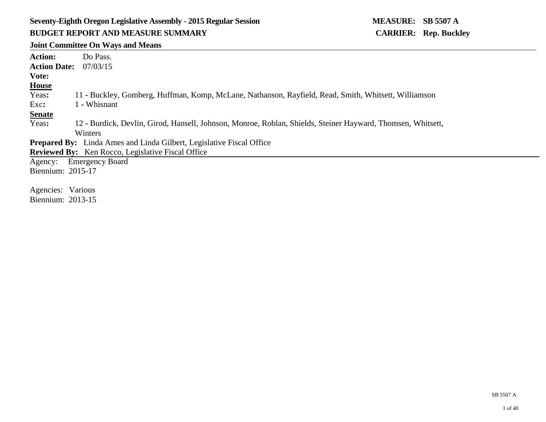# **Seventy-Eighth Oregon Legislative Assembly - 2015 Regular Session MEASURE: SB 5507 A BUDGET REPORT AND MEASURE SUMMARY CARRIER: Rep. Buckley**

## **Joint Committee On Ways and Means**

| <b>Action Date:</b><br>07/03/15<br>Vote:<br><b>House</b><br>Yeas:<br>11 - Buckley, Gomberg, Huffman, Komp, McLane, Nathanson, Rayfield, Read, Smith, Whitsett, Williamson |
|---------------------------------------------------------------------------------------------------------------------------------------------------------------------------|
|                                                                                                                                                                           |
|                                                                                                                                                                           |
|                                                                                                                                                                           |
|                                                                                                                                                                           |
| 1 - Whisnant<br>Exc:                                                                                                                                                      |
| <b>Senate</b>                                                                                                                                                             |
| Yeas:<br>12 - Burdick, Devlin, Girod, Hansell, Johnson, Monroe, Roblan, Shields, Steiner Hayward, Thomsen, Whitsett,                                                      |
| Winters                                                                                                                                                                   |
| <b>Prepared By:</b> Linda Ames and Linda Gilbert, Legislative Fiscal Office                                                                                               |
| <b>Reviewed By:</b> Ken Rocco, Legislative Fiscal Office                                                                                                                  |
| <b>Emergency Board</b><br>Agency:                                                                                                                                         |
| Biennium: 2015-17                                                                                                                                                         |
|                                                                                                                                                                           |
| Agencies: Various                                                                                                                                                         |
| Biennium: 2013-15                                                                                                                                                         |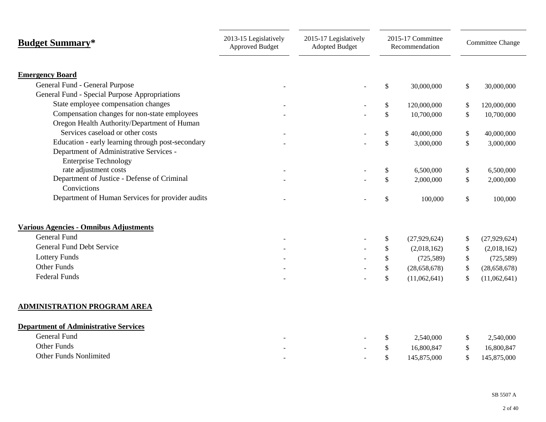| <b>Budget Summary*</b>                                | 2013-15 Legislatively<br><b>Approved Budget</b> | 2015-17 Legislatively<br><b>Adopted Budget</b> | 2015-17 Committee<br>Recommendation |                           |                                 |  | Committee Change |
|-------------------------------------------------------|-------------------------------------------------|------------------------------------------------|-------------------------------------|---------------------------|---------------------------------|--|------------------|
|                                                       |                                                 |                                                |                                     |                           |                                 |  |                  |
| <b>Emergency Board</b>                                |                                                 |                                                |                                     |                           |                                 |  |                  |
| General Fund - General Purpose                        |                                                 |                                                | $\$\,$                              | 30,000,000                | \$<br>30,000,000                |  |                  |
| General Fund - Special Purpose Appropriations         |                                                 |                                                |                                     |                           |                                 |  |                  |
| State employee compensation changes                   |                                                 |                                                | $\$$                                | 120,000,000               | \$<br>120,000,000               |  |                  |
| Compensation changes for non-state employees          |                                                 |                                                | $\$$                                | 10,700,000                | \$<br>10,700,000                |  |                  |
| Oregon Health Authority/Department of Human           |                                                 |                                                |                                     |                           |                                 |  |                  |
| Services caseload or other costs                      |                                                 |                                                | $\$$                                | 40,000,000                | \$<br>40,000,000                |  |                  |
| Education - early learning through post-secondary     |                                                 |                                                | $\mathbb{S}$                        | 3,000,000                 | \$<br>3,000,000                 |  |                  |
| Department of Administrative Services -               |                                                 |                                                |                                     |                           |                                 |  |                  |
| <b>Enterprise Technology</b><br>rate adjustment costs |                                                 |                                                | \$                                  | 6,500,000                 | \$<br>6,500,000                 |  |                  |
| Department of Justice - Defense of Criminal           |                                                 |                                                | \$                                  | 2,000,000                 | \$<br>2,000,000                 |  |                  |
| Convictions                                           |                                                 |                                                |                                     |                           |                                 |  |                  |
| Department of Human Services for provider audits      |                                                 |                                                | \$                                  | 100,000                   | \$<br>100,000                   |  |                  |
| Various Agencies - Omnibus Adjustments                |                                                 |                                                |                                     |                           |                                 |  |                  |
| <b>General Fund</b>                                   |                                                 |                                                | \$                                  | (27,929,624)              | (27,929,624)                    |  |                  |
| <b>General Fund Debt Service</b>                      |                                                 |                                                |                                     |                           | \$                              |  |                  |
| <b>Lottery Funds</b>                                  |                                                 |                                                | \$<br>\$                            | (2,018,162)<br>(725, 589) | \$<br>(2,018,162)<br>(725, 589) |  |                  |
| Other Funds                                           |                                                 |                                                | $\$$                                | (28, 658, 678)            | \$<br>(28, 658, 678)            |  |                  |
| <b>Federal Funds</b>                                  |                                                 |                                                |                                     |                           | \$                              |  |                  |
|                                                       |                                                 |                                                | \$                                  | (11,062,641)              | \$<br>(11,062,641)              |  |                  |
| <b>ADMINISTRATION PROGRAM AREA</b>                    |                                                 |                                                |                                     |                           |                                 |  |                  |
| <b>Department of Administrative Services</b>          |                                                 |                                                |                                     |                           |                                 |  |                  |
| <b>General Fund</b>                                   |                                                 |                                                | \$                                  | 2,540,000                 | \$<br>2,540,000                 |  |                  |
| <b>Other Funds</b>                                    |                                                 |                                                | \$                                  | 16,800,847                | \$<br>16,800,847                |  |                  |
| <b>Other Funds Nonlimited</b>                         |                                                 |                                                | \$                                  | 145,875,000               | \$<br>145,875,000               |  |                  |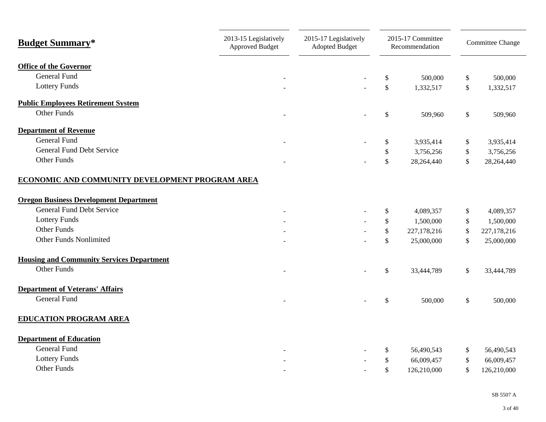| <b>Budget Summary*</b>                           | 2013-15 Legislatively<br><b>Approved Budget</b> | 2015-17 Legislatively<br><b>Adopted Budget</b> |               | 2015-17 Committee<br>Recommendation |               | <b>Committee Change</b> |
|--------------------------------------------------|-------------------------------------------------|------------------------------------------------|---------------|-------------------------------------|---------------|-------------------------|
| <b>Office of the Governor</b>                    |                                                 |                                                |               |                                     |               |                         |
| General Fund                                     |                                                 |                                                | \$            | 500,000                             | \$            | 500,000                 |
| <b>Lottery Funds</b>                             |                                                 |                                                | \$            | 1,332,517                           | \$            | 1,332,517               |
| <b>Public Employees Retirement System</b>        |                                                 |                                                |               |                                     |               |                         |
| <b>Other Funds</b>                               |                                                 |                                                | \$            | 509,960                             | \$            | 509,960                 |
| <b>Department of Revenue</b>                     |                                                 |                                                |               |                                     |               |                         |
| <b>General Fund</b>                              |                                                 |                                                | \$            | 3,935,414                           | \$            | 3,935,414               |
| <b>General Fund Debt Service</b>                 |                                                 |                                                | \$            | 3,756,256                           | \$            | 3,756,256               |
| <b>Other Funds</b>                               |                                                 |                                                | $\mathbb{S}$  | 28,264,440                          | $\mathcal{S}$ | 28,264,440              |
| ECONOMIC AND COMMUNITY DEVELOPMENT PROGRAM AREA  |                                                 |                                                |               |                                     |               |                         |
| <b>Oregon Business Development Department</b>    |                                                 |                                                |               |                                     |               |                         |
| <b>General Fund Debt Service</b>                 |                                                 |                                                | \$            | 4,089,357                           | $\mathsf{\$}$ | 4,089,357               |
| <b>Lottery Funds</b>                             |                                                 |                                                | \$            | 1,500,000                           | $\mathbb{S}$  | 1,500,000               |
| <b>Other Funds</b>                               |                                                 |                                                | \$            | 227,178,216                         | \$            | 227,178,216             |
| <b>Other Funds Nonlimited</b>                    |                                                 |                                                | \$            | 25,000,000                          | $\mathcal{S}$ | 25,000,000              |
| <b>Housing and Community Services Department</b> |                                                 |                                                |               |                                     |               |                         |
| <b>Other Funds</b>                               |                                                 |                                                | \$            | 33,444,789                          | $\mathsf{\$}$ | 33,444,789              |
| <b>Department of Veterans' Affairs</b>           |                                                 |                                                |               |                                     |               |                         |
| <b>General Fund</b>                              |                                                 |                                                | $\mathcal{S}$ | 500,000                             | $\mathsf{\$}$ | 500,000                 |
| <b>EDUCATION PROGRAM AREA</b>                    |                                                 |                                                |               |                                     |               |                         |
| <b>Department of Education</b>                   |                                                 |                                                |               |                                     |               |                         |
| General Fund                                     |                                                 |                                                | \$            | 56,490,543                          | \$            | 56,490,543              |
| <b>Lottery Funds</b>                             |                                                 |                                                | \$            | 66,009,457                          | \$            | 66,009,457              |
| <b>Other Funds</b>                               |                                                 |                                                | $\mathbb{S}$  | 126,210,000                         | \$            | 126,210,000             |
|                                                  |                                                 |                                                |               |                                     |               |                         |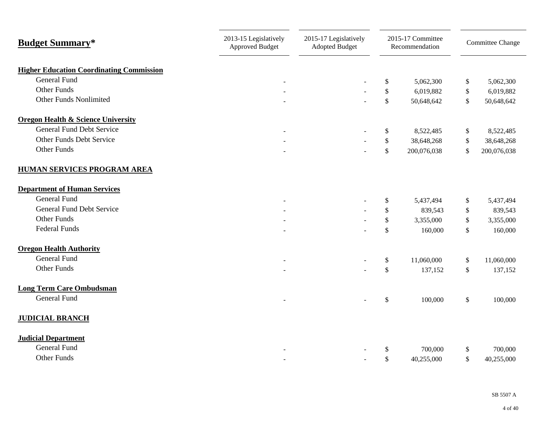| <b>Budget Summary*</b>                          | 2013-15 Legislatively<br><b>Approved Budget</b> | 2015-17 Legislatively<br>2015-17 Committee<br><b>Adopted Budget</b><br>Recommendation |              |             |    | Committee Change |
|-------------------------------------------------|-------------------------------------------------|---------------------------------------------------------------------------------------|--------------|-------------|----|------------------|
| <b>Higher Education Coordinating Commission</b> |                                                 |                                                                                       |              |             |    |                  |
| <b>General Fund</b>                             |                                                 |                                                                                       | \$           | 5,062,300   | \$ | 5,062,300        |
| <b>Other Funds</b>                              |                                                 |                                                                                       | $\$\,$       | 6,019,882   | \$ | 6,019,882        |
| <b>Other Funds Nonlimited</b>                   |                                                 |                                                                                       | \$           | 50,648,642  | \$ | 50,648,642       |
| <b>Oregon Health &amp; Science University</b>   |                                                 |                                                                                       |              |             |    |                  |
| <b>General Fund Debt Service</b>                |                                                 |                                                                                       | \$           | 8,522,485   | \$ | 8,522,485        |
| Other Funds Debt Service                        |                                                 |                                                                                       | \$           | 38,648,268  | \$ | 38,648,268       |
| Other Funds                                     |                                                 |                                                                                       | \$           | 200,076,038 | \$ | 200,076,038      |
| <b>HUMAN SERVICES PROGRAM AREA</b>              |                                                 |                                                                                       |              |             |    |                  |
| <b>Department of Human Services</b>             |                                                 |                                                                                       |              |             |    |                  |
| General Fund                                    |                                                 |                                                                                       | \$           | 5,437,494   | \$ | 5,437,494        |
| <b>General Fund Debt Service</b>                |                                                 |                                                                                       | $\$\,$       | 839,543     | \$ | 839,543          |
| Other Funds                                     |                                                 |                                                                                       | $\$\,$       | 3,355,000   | \$ | 3,355,000        |
| <b>Federal Funds</b>                            |                                                 |                                                                                       | $\mathbb{S}$ | 160,000     | \$ | 160,000          |
| <b>Oregon Health Authority</b>                  |                                                 |                                                                                       |              |             |    |                  |
| <b>General Fund</b>                             |                                                 |                                                                                       | \$           | 11,060,000  | \$ | 11,060,000       |
| <b>Other Funds</b>                              |                                                 |                                                                                       | $\mathbb{S}$ | 137,152     | \$ | 137,152          |
| <b>Long Term Care Ombudsman</b>                 |                                                 |                                                                                       |              |             |    |                  |
| General Fund                                    |                                                 |                                                                                       | $\$\,$       | 100,000     | \$ | 100,000          |
| <b>JUDICIAL BRANCH</b>                          |                                                 |                                                                                       |              |             |    |                  |
| <b>Judicial Department</b>                      |                                                 |                                                                                       |              |             |    |                  |
| <b>General Fund</b>                             |                                                 |                                                                                       | \$           | 700,000     | \$ | 700,000          |
| <b>Other Funds</b>                              |                                                 |                                                                                       | $\$\,$       | 40,255,000  | \$ | 40,255,000       |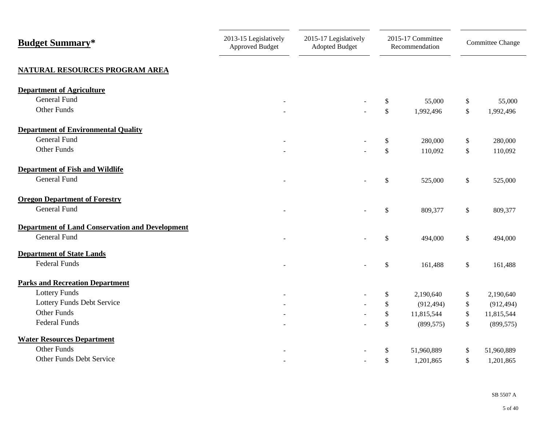| <b>Budget Summary*</b>                                 | 2013-15 Legislatively<br><b>Approved Budget</b> | 2015-17 Legislatively<br><b>Adopted Budget</b> |               | 2015-17 Committee<br>Recommendation | Committee Change |
|--------------------------------------------------------|-------------------------------------------------|------------------------------------------------|---------------|-------------------------------------|------------------|
| <b>NATURAL RESOURCES PROGRAM AREA</b>                  |                                                 |                                                |               |                                     |                  |
| <b>Department of Agriculture</b>                       |                                                 |                                                |               |                                     |                  |
| General Fund                                           |                                                 |                                                | \$            | 55,000                              | \$<br>55,000     |
| Other Funds                                            |                                                 |                                                | $\mathbb{S}$  | 1,992,496                           | \$<br>1,992,496  |
| <b>Department of Environmental Quality</b>             |                                                 |                                                |               |                                     |                  |
| <b>General Fund</b>                                    |                                                 |                                                | \$            | 280,000                             | \$<br>280,000    |
| Other Funds                                            |                                                 |                                                | $\mathcal{S}$ | 110,092                             | \$<br>110,092    |
| <b>Department of Fish and Wildlife</b>                 |                                                 |                                                |               |                                     |                  |
| <b>General Fund</b>                                    |                                                 |                                                | \$            | 525,000                             | \$<br>525,000    |
| <b>Oregon Department of Forestry</b>                   |                                                 |                                                |               |                                     |                  |
| <b>General Fund</b>                                    |                                                 |                                                | \$            | 809,377                             | \$<br>809,377    |
| <b>Department of Land Conservation and Development</b> |                                                 |                                                |               |                                     |                  |
| General Fund                                           |                                                 |                                                | $\mathbb{S}$  | 494,000                             | \$<br>494,000    |
| <b>Department of State Lands</b>                       |                                                 |                                                |               |                                     |                  |
| <b>Federal Funds</b>                                   |                                                 |                                                | $\mathbb{S}$  | 161,488                             | \$<br>161,488    |
| <b>Parks and Recreation Department</b>                 |                                                 |                                                |               |                                     |                  |
| <b>Lottery Funds</b>                                   |                                                 |                                                | \$            | 2,190,640                           | \$<br>2,190,640  |
| Lottery Funds Debt Service                             |                                                 |                                                | \$            | (912, 494)                          | \$<br>(912, 494) |
| <b>Other Funds</b>                                     |                                                 |                                                | \$            | 11,815,544                          | \$<br>11,815,544 |
| <b>Federal Funds</b>                                   |                                                 |                                                | \$            | (899, 575)                          | \$<br>(899, 575) |
| <b>Water Resources Department</b>                      |                                                 |                                                |               |                                     |                  |
| Other Funds                                            |                                                 |                                                | $\mathbb{S}$  | 51,960,889                          | \$<br>51,960,889 |
| Other Funds Debt Service                               |                                                 |                                                | \$            | 1,201,865                           | \$<br>1,201,865  |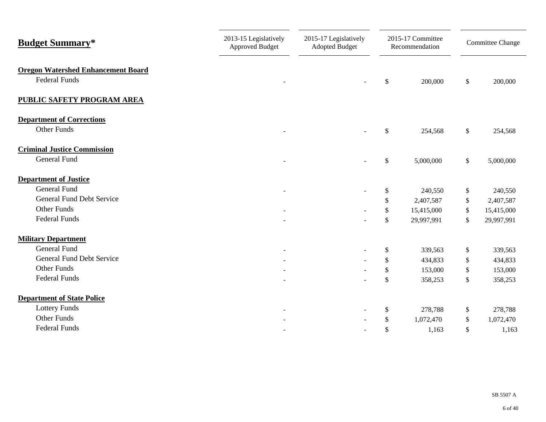| <b>Budget Summary*</b>                                            | 2013-15 Legislatively<br>Approved Budget | 2015-17 Legislatively<br><b>Adopted Budget</b> |               | 2015-17 Committee<br>Recommendation | Committee Change |
|-------------------------------------------------------------------|------------------------------------------|------------------------------------------------|---------------|-------------------------------------|------------------|
| <b>Oregon Watershed Enhancement Board</b><br><b>Federal Funds</b> |                                          |                                                | $\mathcal{S}$ | 200,000                             | \$<br>200,000    |
| <b>PUBLIC SAFETY PROGRAM AREA</b>                                 |                                          |                                                |               |                                     |                  |
| <b>Department of Corrections</b><br><b>Other Funds</b>            |                                          |                                                | $\mathbb{S}$  | 254,568                             | \$<br>254,568    |
| <b>Criminal Justice Commission</b><br>General Fund                |                                          |                                                | \$            | 5,000,000                           | \$<br>5,000,000  |
| <b>Department of Justice</b>                                      |                                          |                                                |               |                                     |                  |
| <b>General Fund</b>                                               |                                          |                                                | \$            | 240,550                             | \$<br>240,550    |
| <b>General Fund Debt Service</b>                                  |                                          |                                                | \$            | 2,407,587                           | \$<br>2,407,587  |
| Other Funds                                                       |                                          |                                                | \$            | 15,415,000                          | \$<br>15,415,000 |
| <b>Federal Funds</b>                                              |                                          |                                                | $\mathbb{S}$  | 29,997,991                          | \$<br>29,997,991 |
| <b>Military Department</b>                                        |                                          |                                                |               |                                     |                  |
| <b>General Fund</b>                                               | $\sim$                                   |                                                | \$            | 339,563                             | \$<br>339,563    |
| <b>General Fund Debt Service</b>                                  |                                          |                                                | \$            | 434,833                             | \$<br>434,833    |
| Other Funds                                                       |                                          |                                                | $\mathcal{S}$ | 153,000                             | \$<br>153,000    |
| <b>Federal Funds</b>                                              |                                          |                                                | $\mathbb{S}$  | 358,253                             | \$<br>358,253    |
| <b>Department of State Police</b>                                 |                                          |                                                |               |                                     |                  |
| <b>Lottery Funds</b>                                              |                                          |                                                | $\mathcal{S}$ | 278,788                             | \$<br>278,788    |
| <b>Other Funds</b>                                                |                                          |                                                | $\mathbb{S}$  | 1,072,470                           | \$<br>1,072,470  |
| <b>Federal Funds</b>                                              |                                          |                                                | \$            | 1,163                               | \$<br>1,163      |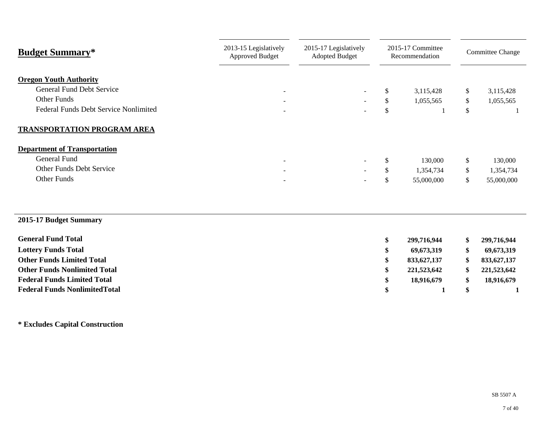| <b>Budget Summary*</b>                                                                                                           | 2013-15 Legislatively<br><b>Approved Budget</b>      | 2015-17 Legislatively<br><b>Adopted Budget</b>       |                | 2015-17 Committee<br>Recommendation |                | <b>Committee Change</b> |
|----------------------------------------------------------------------------------------------------------------------------------|------------------------------------------------------|------------------------------------------------------|----------------|-------------------------------------|----------------|-------------------------|
| <b>Oregon Youth Authority</b><br><b>General Fund Debt Service</b><br>Other Funds<br><b>Federal Funds Debt Service Nonlimited</b> | $\sim$<br>$\overline{\phantom{a}}$                   | $\overline{\phantom{a}}$<br>$\overline{\phantom{a}}$ | \$<br>\$<br>\$ | 3,115,428<br>1,055,565              | \$<br>\$<br>\$ | 3,115,428<br>1,055,565  |
| TRANSPORTATION PROGRAM AREA                                                                                                      |                                                      |                                                      |                |                                     |                |                         |
| <b>Department of Transportation</b><br>General Fund                                                                              |                                                      |                                                      |                |                                     |                |                         |
| Other Funds Debt Service                                                                                                         | $\overline{\phantom{a}}$                             | $\overline{\phantom{a}}$                             | \$             | 130,000                             | \$             | 130,000                 |
| Other Funds                                                                                                                      | $\overline{\phantom{a}}$<br>$\overline{\phantom{a}}$ |                                                      | \$<br>\$       | 1,354,734<br>55,000,000             | \$<br>\$       | 1,354,734<br>55,000,000 |
| 2015-17 Budget Summary                                                                                                           |                                                      |                                                      |                |                                     |                |                         |
| <b>General Fund Total</b>                                                                                                        |                                                      |                                                      | \$             | 299,716,944                         | \$             | 299,716,944             |

| OCHURT FUHU TURI                      | 299,710,944 | 299、/10、944 |
|---------------------------------------|-------------|-------------|
| <b>Lottery Funds Total</b>            | 69,673,319  | 69,673,319  |
| <b>Other Funds Limited Total</b>      | 833,627,137 | 833,627,137 |
| <b>Other Funds Nonlimited Total</b>   | 221,523,642 | 221,523,642 |
| <b>Federal Funds Limited Total</b>    | 18,916,679  | 18,916,679  |
| <b>Federal Funds Nonlimited Total</b> |             |             |
|                                       |             |             |

**\* Excludes Capital Construction**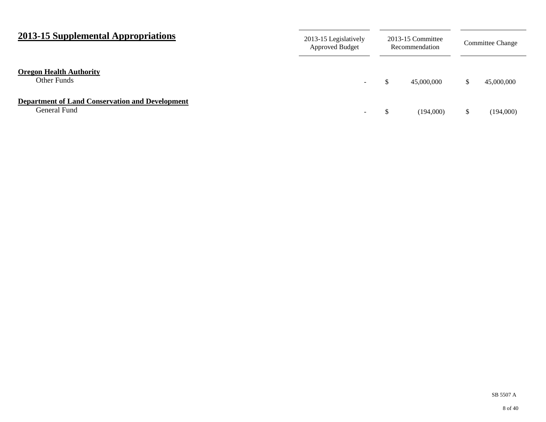| 2013-15 Supplemental Appropriations                                    | 2013-15 Legislatively<br><b>Approved Budget</b> |  | 2013-15 Committee<br>Recommendation |    | Committee Change |  |
|------------------------------------------------------------------------|-------------------------------------------------|--|-------------------------------------|----|------------------|--|
| <b>Oregon Health Authority</b><br>Other Funds                          | $\sim$                                          |  | 45,000,000                          |    | 45,000,000       |  |
| <b>Department of Land Conservation and Development</b><br>General Fund | -                                               |  | (194,000)                           | \$ | (194,000)        |  |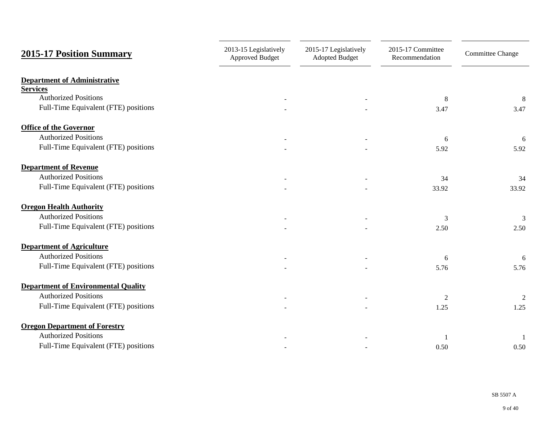| <b>2015-17 Position Summary</b>                | 2013-15 Legislatively<br><b>Approved Budget</b> | 2015-17 Legislatively<br><b>Adopted Budget</b> | 2015-17 Committee<br>Recommendation | <b>Committee Change</b> |
|------------------------------------------------|-------------------------------------------------|------------------------------------------------|-------------------------------------|-------------------------|
| <b>Department of Administrative</b>            |                                                 |                                                |                                     |                         |
| <b>Services</b><br><b>Authorized Positions</b> |                                                 |                                                |                                     |                         |
| Full-Time Equivalent (FTE) positions           |                                                 |                                                | 8<br>3.47                           | 8<br>3.47               |
| <b>Office of the Governor</b>                  |                                                 |                                                |                                     |                         |
| <b>Authorized Positions</b>                    |                                                 |                                                | 6                                   | 6                       |
| Full-Time Equivalent (FTE) positions           |                                                 |                                                | 5.92                                | 5.92                    |
| <b>Department of Revenue</b>                   |                                                 |                                                |                                     |                         |
| <b>Authorized Positions</b>                    |                                                 |                                                | 34                                  | 34                      |
| Full-Time Equivalent (FTE) positions           |                                                 |                                                | 33.92                               | 33.92                   |
| <b>Oregon Health Authority</b>                 |                                                 |                                                |                                     |                         |
| <b>Authorized Positions</b>                    |                                                 |                                                | 3                                   | 3                       |
| Full-Time Equivalent (FTE) positions           |                                                 |                                                | 2.50                                | 2.50                    |
| <b>Department of Agriculture</b>               |                                                 |                                                |                                     |                         |
| <b>Authorized Positions</b>                    |                                                 |                                                | 6                                   | 6                       |
| Full-Time Equivalent (FTE) positions           |                                                 |                                                | 5.76                                | 5.76                    |
| <b>Department of Environmental Quality</b>     |                                                 |                                                |                                     |                         |
| <b>Authorized Positions</b>                    |                                                 |                                                | $\overline{2}$                      | $\overline{2}$          |
| Full-Time Equivalent (FTE) positions           |                                                 |                                                | 1.25                                | 1.25                    |
| <b>Oregon Department of Forestry</b>           |                                                 |                                                |                                     |                         |
| <b>Authorized Positions</b>                    |                                                 |                                                |                                     |                         |
| Full-Time Equivalent (FTE) positions           |                                                 |                                                | 0.50                                | 0.50                    |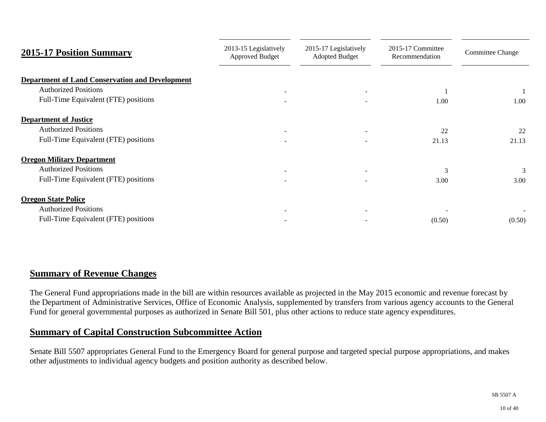| <b>2015-17 Position Summary</b>                        | 2013-15 Legislatively<br><b>Approved Budget</b> | 2015-17 Legislatively<br><b>Adopted Budget</b> | 2015-17 Committee<br>Recommendation |        |
|--------------------------------------------------------|-------------------------------------------------|------------------------------------------------|-------------------------------------|--------|
| <b>Department of Land Conservation and Development</b> |                                                 |                                                |                                     |        |
| <b>Authorized Positions</b>                            |                                                 |                                                |                                     |        |
| Full-Time Equivalent (FTE) positions                   |                                                 |                                                | 1.00                                | 1.00   |
| <b>Department of Justice</b>                           |                                                 |                                                |                                     |        |
| <b>Authorized Positions</b>                            |                                                 |                                                | 22                                  | 22     |
| Full-Time Equivalent (FTE) positions                   |                                                 |                                                | 21.13                               | 21.13  |
| <b>Oregon Military Department</b>                      |                                                 |                                                |                                     |        |
| <b>Authorized Positions</b>                            |                                                 |                                                | 3                                   | 3      |
| Full-Time Equivalent (FTE) positions                   |                                                 |                                                | 3.00                                | 3.00   |
| <b>Oregon State Police</b>                             |                                                 |                                                |                                     |        |
| <b>Authorized Positions</b>                            |                                                 |                                                |                                     |        |
| Full-Time Equivalent (FTE) positions                   |                                                 |                                                | (0.50)                              | (0.50) |

## **Summary of Revenue Changes**

The General Fund appropriations made in the bill are within resources available as projected in the May 2015 economic and revenue forecast by the Department of Administrative Services, Office of Economic Analysis, supplemented by transfers from various agency accounts to the General Fund for general governmental purposes as authorized in Senate Bill 501, plus other actions to reduce state agency expenditures.

## **Summary of Capital Construction Subcommittee Action**

Senate Bill 5507 appropriates General Fund to the Emergency Board for general purpose and targeted special purpose appropriations, and makes other adjustments to individual agency budgets and position authority as described below.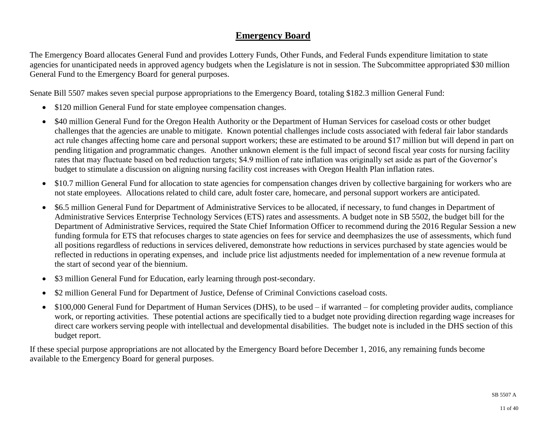# **Emergency Board**

The Emergency Board allocates General Fund and provides Lottery Funds, Other Funds, and Federal Funds expenditure limitation to state agencies for unanticipated needs in approved agency budgets when the Legislature is not in session. The Subcommittee appropriated \$30 million General Fund to the Emergency Board for general purposes.

Senate Bill 5507 makes seven special purpose appropriations to the Emergency Board, totaling \$182.3 million General Fund:

- \$120 million General Fund for state employee compensation changes.
- \$40 million General Fund for the Oregon Health Authority or the Department of Human Services for caseload costs or other budget challenges that the agencies are unable to mitigate. Known potential challenges include costs associated with federal fair labor standards act rule changes affecting home care and personal support workers; these are estimated to be around \$17 million but will depend in part on pending litigation and programmatic changes. Another unknown element is the full impact of second fiscal year costs for nursing facility rates that may fluctuate based on bed reduction targets; \$4.9 million of rate inflation was originally set aside as part of the Governor's budget to stimulate a discussion on aligning nursing facility cost increases with Oregon Health Plan inflation rates.
- \$10.7 million General Fund for allocation to state agencies for compensation changes driven by collective bargaining for workers who are not state employees. Allocations related to child care, adult foster care, homecare, and personal support workers are anticipated.
- \$6.5 million General Fund for Department of Administrative Services to be allocated, if necessary, to fund changes in Department of Administrative Services Enterprise Technology Services (ETS) rates and assessments. A budget note in SB 5502, the budget bill for the Department of Administrative Services, required the State Chief Information Officer to recommend during the 2016 Regular Session a new funding formula for ETS that refocuses charges to state agencies on fees for service and deemphasizes the use of assessments, which fund all positions regardless of reductions in services delivered, demonstrate how reductions in services purchased by state agencies would be reflected in reductions in operating expenses, and include price list adjustments needed for implementation of a new revenue formula at the start of second year of the biennium.
- \$3 million General Fund for Education, early learning through post-secondary.
- \$2 million General Fund for Department of Justice, Defense of Criminal Convictions caseload costs.
- \$100,000 General Fund for Department of Human Services (DHS), to be used if warranted for completing provider audits, compliance work, or reporting activities. These potential actions are specifically tied to a budget note providing direction regarding wage increases for direct care workers serving people with intellectual and developmental disabilities. The budget note is included in the DHS section of this budget report.

If these special purpose appropriations are not allocated by the Emergency Board before December 1, 2016, any remaining funds become available to the Emergency Board for general purposes.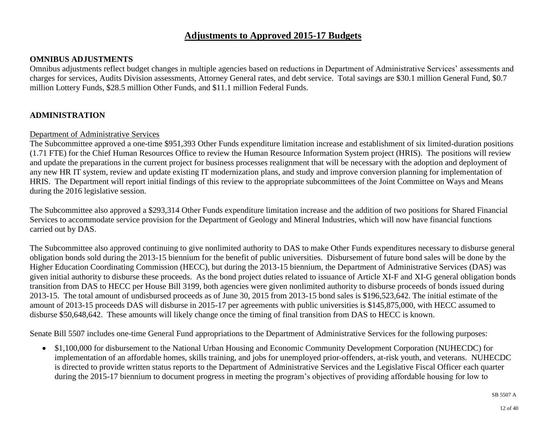## **Adjustments to Approved 2015-17 Budgets**

#### **OMNIBUS ADJUSTMENTS**

Omnibus adjustments reflect budget changes in multiple agencies based on reductions in Department of Administrative Services' assessments and charges for services, Audits Division assessments, Attorney General rates, and debt service. Total savings are \$30.1 million General Fund, \$0.7 million Lottery Funds, \$28.5 million Other Funds, and \$11.1 million Federal Funds.

#### **ADMINISTRATION**

#### Department of Administrative Services

The Subcommittee approved a one-time \$951,393 Other Funds expenditure limitation increase and establishment of six limited-duration positions (1.71 FTE) for the Chief Human Resources Office to review the Human Resource Information System project (HRIS). The positions will review and update the preparations in the current project for business processes realignment that will be necessary with the adoption and deployment of any new HR IT system, review and update existing IT modernization plans, and study and improve conversion planning for implementation of HRIS. The Department will report initial findings of this review to the appropriate subcommittees of the Joint Committee on Ways and Means during the 2016 legislative session.

The Subcommittee also approved a \$293,314 Other Funds expenditure limitation increase and the addition of two positions for Shared Financial Services to accommodate service provision for the Department of Geology and Mineral Industries, which will now have financial functions carried out by DAS.

The Subcommittee also approved continuing to give nonlimited authority to DAS to make Other Funds expenditures necessary to disburse general obligation bonds sold during the 2013-15 biennium for the benefit of public universities. Disbursement of future bond sales will be done by the Higher Education Coordinating Commission (HECC), but during the 2013-15 biennium, the Department of Administrative Services (DAS) was given initial authority to disburse these proceeds. As the bond project duties related to issuance of Article XI-F and XI-G general obligation bonds transition from DAS to HECC per House Bill 3199, both agencies were given nonlimited authority to disburse proceeds of bonds issued during 2013-15. The total amount of undisbursed proceeds as of June 30, 2015 from 2013-15 bond sales is \$196,523,642. The initial estimate of the amount of 2013-15 proceeds DAS will disburse in 2015-17 per agreements with public universities is \$145,875,000, with HECC assumed to disburse \$50,648,642. These amounts will likely change once the timing of final transition from DAS to HECC is known.

Senate Bill 5507 includes one-time General Fund appropriations to the Department of Administrative Services for the following purposes:

 \$1,100,000 for disbursement to the National Urban Housing and Economic Community Development Corporation (NUHECDC) for implementation of an affordable homes, skills training, and jobs for unemployed prior-offenders, at-risk youth, and veterans. NUHECDC is directed to provide written status reports to the Department of Administrative Services and the Legislative Fiscal Officer each quarter during the 2015-17 biennium to document progress in meeting the program's objectives of providing affordable housing for low to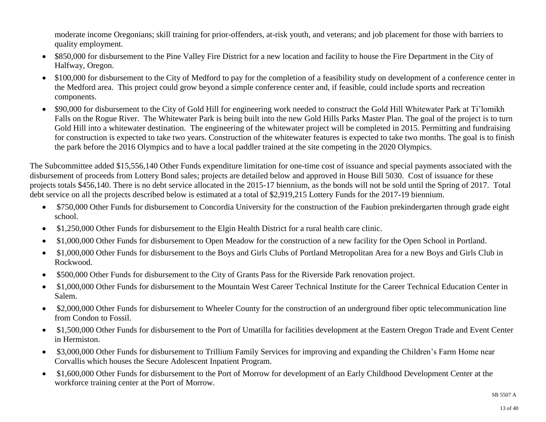moderate income Oregonians; skill training for prior-offenders, at-risk youth, and veterans; and job placement for those with barriers to quality employment.

- \$850,000 for disbursement to the Pine Valley Fire District for a new location and facility to house the Fire Department in the City of Halfway, Oregon.
- \$100,000 for disbursement to the City of Medford to pay for the completion of a feasibility study on development of a conference center in the Medford area. This project could grow beyond a simple conference center and, if feasible, could include sports and recreation components.
- \$90,000 for disbursement to the City of Gold Hill for engineering work needed to construct the Gold Hill Whitewater Park at Ti'lomikh Falls on the Rogue River. The Whitewater Park is being built into the new Gold Hills Parks Master Plan. The goal of the project is to turn Gold Hill into a whitewater destination. The engineering of the whitewater project will be completed in 2015. Permitting and fundraising for construction is expected to take two years. Construction of the whitewater features is expected to take two months. The goal is to finish the park before the 2016 Olympics and to have a local paddler trained at the site competing in the 2020 Olympics.

The Subcommittee added \$15,556,140 Other Funds expenditure limitation for one-time cost of issuance and special payments associated with the disbursement of proceeds from Lottery Bond sales; projects are detailed below and approved in House Bill 5030. Cost of issuance for these projects totals \$456,140. There is no debt service allocated in the 2015-17 biennium, as the bonds will not be sold until the Spring of 2017. Total debt service on all the projects described below is estimated at a total of \$2,919,215 Lottery Funds for the 2017-19 biennium.

- \$750,000 Other Funds for disbursement to Concordia University for the construction of the Faubion prekindergarten through grade eight school.
- \$1,250,000 Other Funds for disbursement to the Elgin Health District for a rural health care clinic.
- \$1,000,000 Other Funds for disbursement to Open Meadow for the construction of a new facility for the Open School in Portland.
- \$1,000,000 Other Funds for disbursement to the Boys and Girls Clubs of Portland Metropolitan Area for a new Boys and Girls Club in Rockwood.
- \$500,000 Other Funds for disbursement to the City of Grants Pass for the Riverside Park renovation project.
- \$1,000,000 Other Funds for disbursement to the Mountain West Career Technical Institute for the Career Technical Education Center in Salem.
- \$2,000,000 Other Funds for disbursement to Wheeler County for the construction of an underground fiber optic telecommunication line from Condon to Fossil.
- \$1,500,000 Other Funds for disbursement to the Port of Umatilla for facilities development at the Eastern Oregon Trade and Event Center in Hermiston.
- \$3,000,000 Other Funds for disbursement to Trillium Family Services for improving and expanding the Children's Farm Home near Corvallis which houses the Secure Adolescent Inpatient Program.
- \$1,600,000 Other Funds for disbursement to the Port of Morrow for development of an Early Childhood Development Center at the workforce training center at the Port of Morrow.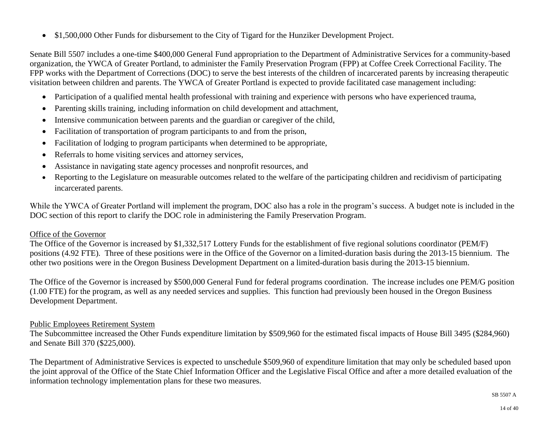• \$1,500,000 Other Funds for disbursement to the City of Tigard for the Hunziker Development Project.

Senate Bill 5507 includes a one-time \$400,000 General Fund appropriation to the Department of Administrative Services for a community-based organization, the YWCA of Greater Portland, to administer the Family Preservation Program (FPP) at Coffee Creek Correctional Facility. The FPP works with the Department of Corrections (DOC) to serve the best interests of the children of incarcerated parents by increasing therapeutic visitation between children and parents. The YWCA of Greater Portland is expected to provide facilitated case management including:

- Participation of a qualified mental health professional with training and experience with persons who have experienced trauma,
- Parenting skills training, including information on child development and attachment,
- Intensive communication between parents and the guardian or caregiver of the child,
- Facilitation of transportation of program participants to and from the prison,
- Facilitation of lodging to program participants when determined to be appropriate,
- Referrals to home visiting services and attorney services,
- Assistance in navigating state agency processes and nonprofit resources, and
- Reporting to the Legislature on measurable outcomes related to the welfare of the participating children and recidivism of participating incarcerated parents.

While the YWCA of Greater Portland will implement the program, DOC also has a role in the program's success. A budget note is included in the DOC section of this report to clarify the DOC role in administering the Family Preservation Program.

## Office of the Governor

The Office of the Governor is increased by \$1,332,517 Lottery Funds for the establishment of five regional solutions coordinator (PEM/F) positions (4.92 FTE). Three of these positions were in the Office of the Governor on a limited-duration basis during the 2013-15 biennium. The other two positions were in the Oregon Business Development Department on a limited-duration basis during the 2013-15 biennium.

The Office of the Governor is increased by \$500,000 General Fund for federal programs coordination. The increase includes one PEM/G position (1.00 FTE) for the program, as well as any needed services and supplies. This function had previously been housed in the Oregon Business Development Department.

#### Public Employees Retirement System

The Subcommittee increased the Other Funds expenditure limitation by \$509,960 for the estimated fiscal impacts of House Bill 3495 (\$284,960) and Senate Bill 370 (\$225,000).

The Department of Administrative Services is expected to unschedule \$509,960 of expenditure limitation that may only be scheduled based upon the joint approval of the Office of the State Chief Information Officer and the Legislative Fiscal Office and after a more detailed evaluation of the information technology implementation plans for these two measures.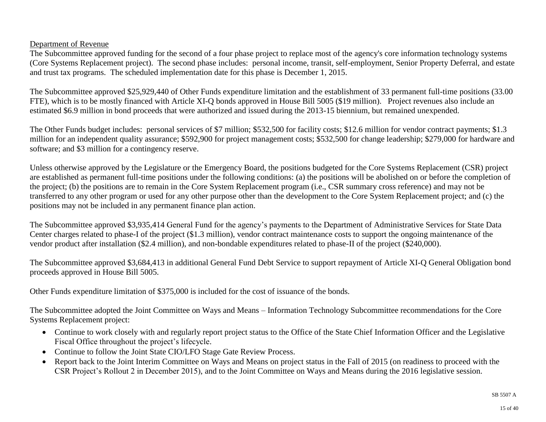#### Department of Revenue

The Subcommittee approved funding for the second of a four phase project to replace most of the agency's core information technology systems (Core Systems Replacement project). The second phase includes: personal income, transit, self-employment, Senior Property Deferral, and estate and trust tax programs. The scheduled implementation date for this phase is December 1, 2015.

The Subcommittee approved \$25,929,440 of Other Funds expenditure limitation and the establishment of 33 permanent full-time positions (33.00 FTE), which is to be mostly financed with Article XI-Q bonds approved in House Bill 5005 (\$19 million). Project revenues also include an estimated \$6.9 million in bond proceeds that were authorized and issued during the 2013-15 biennium, but remained unexpended.

The Other Funds budget includes: personal services of \$7 million; \$532,500 for facility costs; \$12.6 million for vendor contract payments; \$1.3 million for an independent quality assurance; \$592,900 for project management costs; \$532,500 for change leadership; \$279,000 for hardware and software; and \$3 million for a contingency reserve.

Unless otherwise approved by the Legislature or the Emergency Board, the positions budgeted for the Core Systems Replacement (CSR) project are established as permanent full-time positions under the following conditions: (a) the positions will be abolished on or before the completion of the project; (b) the positions are to remain in the Core System Replacement program (i.e., CSR summary cross reference) and may not be transferred to any other program or used for any other purpose other than the development to the Core System Replacement project; and (c) the positions may not be included in any permanent finance plan action.

The Subcommittee approved \$3,935,414 General Fund for the agency's payments to the Department of Administrative Services for State Data Center charges related to phase-I of the project (\$1.3 million), vendor contract maintenance costs to support the ongoing maintenance of the vendor product after installation (\$2.4 million), and non-bondable expenditures related to phase-II of the project (\$240,000).

The Subcommittee approved \$3,684,413 in additional General Fund Debt Service to support repayment of Article XI-Q General Obligation bond proceeds approved in House Bill 5005.

Other Funds expenditure limitation of \$375,000 is included for the cost of issuance of the bonds.

The Subcommittee adopted the Joint Committee on Ways and Means – Information Technology Subcommittee recommendations for the Core Systems Replacement project:

- Continue to work closely with and regularly report project status to the Office of the State Chief Information Officer and the Legislative Fiscal Office throughout the project's lifecycle.
- Continue to follow the Joint State CIO/LFO Stage Gate Review Process.
- Report back to the Joint Interim Committee on Ways and Means on project status in the Fall of 2015 (on readiness to proceed with the CSR Project's Rollout 2 in December 2015), and to the Joint Committee on Ways and Means during the 2016 legislative session.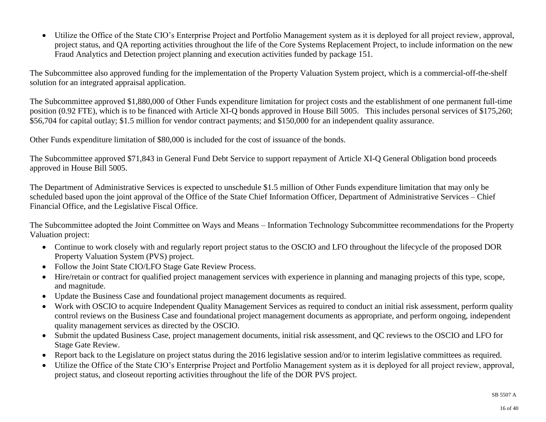Utilize the Office of the State CIO's Enterprise Project and Portfolio Management system as it is deployed for all project review, approval, project status, and QA reporting activities throughout the life of the Core Systems Replacement Project, to include information on the new Fraud Analytics and Detection project planning and execution activities funded by package 151.

The Subcommittee also approved funding for the implementation of the Property Valuation System project, which is a commercial-off-the-shelf solution for an integrated appraisal application.

The Subcommittee approved \$1,880,000 of Other Funds expenditure limitation for project costs and the establishment of one permanent full-time position (0.92 FTE), which is to be financed with Article XI-Q bonds approved in House Bill 5005. This includes personal services of \$175,260; \$56,704 for capital outlay; \$1.5 million for vendor contract payments; and \$150,000 for an independent quality assurance.

Other Funds expenditure limitation of \$80,000 is included for the cost of issuance of the bonds.

The Subcommittee approved \$71,843 in General Fund Debt Service to support repayment of Article XI-Q General Obligation bond proceeds approved in House Bill 5005.

The Department of Administrative Services is expected to unschedule \$1.5 million of Other Funds expenditure limitation that may only be scheduled based upon the joint approval of the Office of the State Chief Information Officer, Department of Administrative Services – Chief Financial Office, and the Legislative Fiscal Office.

The Subcommittee adopted the Joint Committee on Ways and Means – Information Technology Subcommittee recommendations for the Property Valuation project:

- Continue to work closely with and regularly report project status to the OSCIO and LFO throughout the lifecycle of the proposed DOR Property Valuation System (PVS) project.
- Follow the Joint State CIO/LFO Stage Gate Review Process.
- Hire/retain or contract for qualified project management services with experience in planning and managing projects of this type, scope, and magnitude.
- Update the Business Case and foundational project management documents as required.
- Work with OSCIO to acquire Independent Quality Management Services as required to conduct an initial risk assessment, perform quality control reviews on the Business Case and foundational project management documents as appropriate, and perform ongoing, independent quality management services as directed by the OSCIO.
- Submit the updated Business Case, project management documents, initial risk assessment, and QC reviews to the OSCIO and LFO for Stage Gate Review.
- Report back to the Legislature on project status during the 2016 legislative session and/or to interim legislative committees as required.
- Utilize the Office of the State CIO's Enterprise Project and Portfolio Management system as it is deployed for all project review, approval, project status, and closeout reporting activities throughout the life of the DOR PVS project.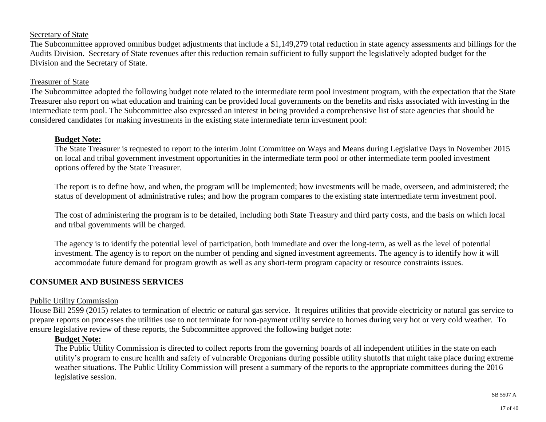#### Secretary of State

The Subcommittee approved omnibus budget adjustments that include a \$1,149,279 total reduction in state agency assessments and billings for the Audits Division. Secretary of State revenues after this reduction remain sufficient to fully support the legislatively adopted budget for the Division and the Secretary of State.

#### Treasurer of State

The Subcommittee adopted the following budget note related to the intermediate term pool investment program, with the expectation that the State Treasurer also report on what education and training can be provided local governments on the benefits and risks associated with investing in the intermediate term pool. The Subcommittee also expressed an interest in being provided a comprehensive list of state agencies that should be considered candidates for making investments in the existing state intermediate term investment pool:

#### **Budget Note:**

The State Treasurer is requested to report to the interim Joint Committee on Ways and Means during Legislative Days in November 2015 on local and tribal government investment opportunities in the intermediate term pool or other intermediate term pooled investment options offered by the State Treasurer.

The report is to define how, and when, the program will be implemented; how investments will be made, overseen, and administered; the status of development of administrative rules; and how the program compares to the existing state intermediate term investment pool.

The cost of administering the program is to be detailed, including both State Treasury and third party costs, and the basis on which local and tribal governments will be charged.

The agency is to identify the potential level of participation, both immediate and over the long-term, as well as the level of potential investment. The agency is to report on the number of pending and signed investment agreements. The agency is to identify how it will accommodate future demand for program growth as well as any short-term program capacity or resource constraints issues.

#### **CONSUMER AND BUSINESS SERVICES**

#### Public Utility Commission

House Bill 2599 (2015) relates to termination of electric or natural gas service. It requires utilities that provide electricity or natural gas service to prepare reports on processes the utilities use to not terminate for non-payment utility service to homes during very hot or very cold weather. To ensure legislative review of these reports, the Subcommittee approved the following budget note:

#### **Budget Note:**

The Public Utility Commission is directed to collect reports from the governing boards of all independent utilities in the state on each utility's program to ensure health and safety of vulnerable Oregonians during possible utility shutoffs that might take place during extreme weather situations. The Public Utility Commission will present a summary of the reports to the appropriate committees during the 2016 legislative session.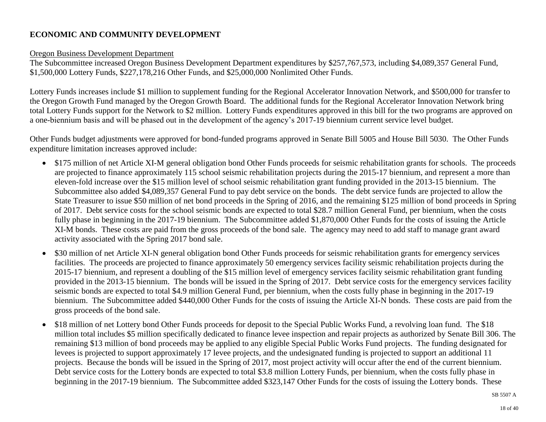## **ECONOMIC AND COMMUNITY DEVELOPMENT**

#### Oregon Business Development Department

The Subcommittee increased Oregon Business Development Department expenditures by \$257,767,573, including \$4,089,357 General Fund, \$1,500,000 Lottery Funds, \$227,178,216 Other Funds, and \$25,000,000 Nonlimited Other Funds.

Lottery Funds increases include \$1 million to supplement funding for the Regional Accelerator Innovation Network, and \$500,000 for transfer to the Oregon Growth Fund managed by the Oregon Growth Board. The additional funds for the Regional Accelerator Innovation Network bring total Lottery Funds support for the Network to \$2 million. Lottery Funds expenditures approved in this bill for the two programs are approved on a one-biennium basis and will be phased out in the development of the agency's 2017-19 biennium current service level budget.

Other Funds budget adjustments were approved for bond-funded programs approved in Senate Bill 5005 and House Bill 5030. The Other Funds expenditure limitation increases approved include:

- \$175 million of net Article XI-M general obligation bond Other Funds proceeds for seismic rehabilitation grants for schools. The proceeds are projected to finance approximately 115 school seismic rehabilitation projects during the 2015-17 biennium, and represent a more than eleven-fold increase over the \$15 million level of school seismic rehabilitation grant funding provided in the 2013-15 biennium. The Subcommittee also added \$4,089,357 General Fund to pay debt service on the bonds. The debt service funds are projected to allow the State Treasurer to issue \$50 million of net bond proceeds in the Spring of 2016, and the remaining \$125 million of bond proceeds in Spring of 2017. Debt service costs for the school seismic bonds are expected to total \$28.7 million General Fund, per biennium, when the costs fully phase in beginning in the 2017-19 biennium. The Subcommittee added \$1,870,000 Other Funds for the costs of issuing the Article XI-M bonds. These costs are paid from the gross proceeds of the bond sale. The agency may need to add staff to manage grant award activity associated with the Spring 2017 bond sale.
- \$30 million of net Article XI-N general obligation bond Other Funds proceeds for seismic rehabilitation grants for emergency services facilities. The proceeds are projected to finance approximately 50 emergency services facility seismic rehabilitation projects during the 2015-17 biennium, and represent a doubling of the \$15 million level of emergency services facility seismic rehabilitation grant funding provided in the 2013-15 biennium. The bonds will be issued in the Spring of 2017. Debt service costs for the emergency services facility seismic bonds are expected to total \$4.9 million General Fund, per biennium, when the costs fully phase in beginning in the 2017-19 biennium. The Subcommittee added \$440,000 Other Funds for the costs of issuing the Article XI-N bonds. These costs are paid from the gross proceeds of the bond sale.
- \$18 million of net Lottery bond Other Funds proceeds for deposit to the Special Public Works Fund, a revolving loan fund. The \$18 million total includes \$5 million specifically dedicated to finance levee inspection and repair projects as authorized by Senate Bill 306. The remaining \$13 million of bond proceeds may be applied to any eligible Special Public Works Fund projects. The funding designated for levees is projected to support approximately 17 levee projects, and the undesignated funding is projected to support an additional 11 projects. Because the bonds will be issued in the Spring of 2017, most project activity will occur after the end of the current biennium. Debt service costs for the Lottery bonds are expected to total \$3.8 million Lottery Funds, per biennium, when the costs fully phase in beginning in the 2017-19 biennium. The Subcommittee added \$323,147 Other Funds for the costs of issuing the Lottery bonds. These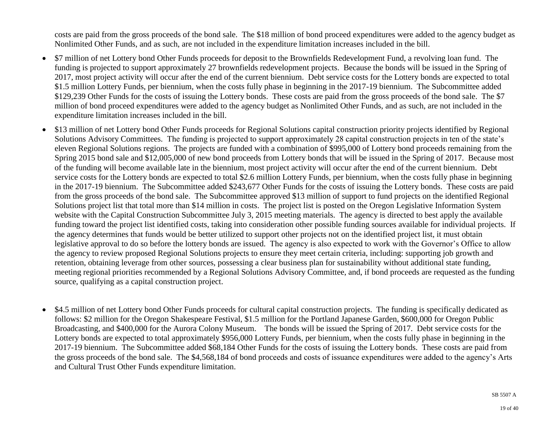costs are paid from the gross proceeds of the bond sale. The \$18 million of bond proceed expenditures were added to the agency budget as Nonlimited Other Funds, and as such, are not included in the expenditure limitation increases included in the bill.

- \$7 million of net Lottery bond Other Funds proceeds for deposit to the Brownfields Redevelopment Fund, a revolving loan fund. The funding is projected to support approximately 27 brownfields redevelopment projects. Because the bonds will be issued in the Spring of 2017, most project activity will occur after the end of the current biennium. Debt service costs for the Lottery bonds are expected to total \$1.5 million Lottery Funds, per biennium, when the costs fully phase in beginning in the 2017-19 biennium. The Subcommittee added \$129,239 Other Funds for the costs of issuing the Lottery bonds. These costs are paid from the gross proceeds of the bond sale. The \$7 million of bond proceed expenditures were added to the agency budget as Nonlimited Other Funds, and as such, are not included in the expenditure limitation increases included in the bill.
- \$13 million of net Lottery bond Other Funds proceeds for Regional Solutions capital construction priority projects identified by Regional Solutions Advisory Committees. The funding is projected to support approximately 28 capital construction projects in ten of the state's eleven Regional Solutions regions. The projects are funded with a combination of \$995,000 of Lottery bond proceeds remaining from the Spring 2015 bond sale and \$12,005,000 of new bond proceeds from Lottery bonds that will be issued in the Spring of 2017. Because most of the funding will become available late in the biennium, most project activity will occur after the end of the current biennium. Debt service costs for the Lottery bonds are expected to total \$2.6 million Lottery Funds, per biennium, when the costs fully phase in beginning in the 2017-19 biennium. The Subcommittee added \$243,677 Other Funds for the costs of issuing the Lottery bonds. These costs are paid from the gross proceeds of the bond sale. The Subcommittee approved \$13 million of support to fund projects on the identified Regional Solutions project list that total more than \$14 million in costs. The project list is posted on the Oregon Legislative Information System website with the Capital Construction Subcommittee July 3, 2015 meeting materials. The agency is directed to best apply the available funding toward the project list identified costs, taking into consideration other possible funding sources available for individual projects. If the agency determines that funds would be better utilized to support other projects not on the identified project list, it must obtain legislative approval to do so before the lottery bonds are issued. The agency is also expected to work with the Governor's Office to allow the agency to review proposed Regional Solutions projects to ensure they meet certain criteria, including: supporting job growth and retention, obtaining leverage from other sources, possessing a clear business plan for sustainability without additional state funding, meeting regional priorities recommended by a Regional Solutions Advisory Committee, and, if bond proceeds are requested as the funding source, qualifying as a capital construction project.
- \$4.5 million of net Lottery bond Other Funds proceeds for cultural capital construction projects. The funding is specifically dedicated as follows: \$2 million for the Oregon Shakespeare Festival, \$1.5 million for the Portland Japanese Garden, \$600,000 for Oregon Public Broadcasting, and \$400,000 for the Aurora Colony Museum. The bonds will be issued the Spring of 2017. Debt service costs for the Lottery bonds are expected to total approximately \$956,000 Lottery Funds, per biennium, when the costs fully phase in beginning in the 2017-19 biennium. The Subcommittee added \$68,184 Other Funds for the costs of issuing the Lottery bonds. These costs are paid from the gross proceeds of the bond sale. The \$4,568,184 of bond proceeds and costs of issuance expenditures were added to the agency's Arts and Cultural Trust Other Funds expenditure limitation.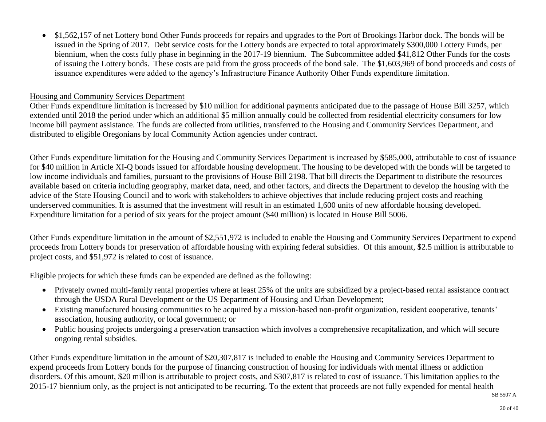\$1,562,157 of net Lottery bond Other Funds proceeds for repairs and upgrades to the Port of Brookings Harbor dock. The bonds will be issued in the Spring of 2017. Debt service costs for the Lottery bonds are expected to total approximately \$300,000 Lottery Funds, per biennium, when the costs fully phase in beginning in the 2017-19 biennium. The Subcommittee added \$41,812 Other Funds for the costs of issuing the Lottery bonds. These costs are paid from the gross proceeds of the bond sale. The \$1,603,969 of bond proceeds and costs of issuance expenditures were added to the agency's Infrastructure Finance Authority Other Funds expenditure limitation.

#### Housing and Community Services Department

Other Funds expenditure limitation is increased by \$10 million for additional payments anticipated due to the passage of House Bill 3257, which extended until 2018 the period under which an additional \$5 million annually could be collected from residential electricity consumers for low income bill payment assistance. The funds are collected from utilities, transferred to the Housing and Community Services Department, and distributed to eligible Oregonians by local Community Action agencies under contract.

Other Funds expenditure limitation for the Housing and Community Services Department is increased by \$585,000, attributable to cost of issuance for \$40 million in Article XI-Q bonds issued for affordable housing development. The housing to be developed with the bonds will be targeted to low income individuals and families, pursuant to the provisions of House Bill 2198. That bill directs the Department to distribute the resources available based on criteria including geography, market data, need, and other factors, and directs the Department to develop the housing with the advice of the State Housing Council and to work with stakeholders to achieve objectives that include reducing project costs and reaching underserved communities. It is assumed that the investment will result in an estimated 1,600 units of new affordable housing developed. Expenditure limitation for a period of six years for the project amount (\$40 million) is located in House Bill 5006.

Other Funds expenditure limitation in the amount of \$2,551,972 is included to enable the Housing and Community Services Department to expend proceeds from Lottery bonds for preservation of affordable housing with expiring federal subsidies. Of this amount, \$2.5 million is attributable to project costs, and \$51,972 is related to cost of issuance.

Eligible projects for which these funds can be expended are defined as the following:

- Privately owned multi-family rental properties where at least 25% of the units are subsidized by a project-based rental assistance contract through the USDA Rural Development or the US Department of Housing and Urban Development;
- Existing manufactured housing communities to be acquired by a mission-based non-profit organization, resident cooperative, tenants' association, housing authority, or local government; or
- Public housing projects undergoing a preservation transaction which involves a comprehensive recapitalization, and which will secure ongoing rental subsidies.

Other Funds expenditure limitation in the amount of \$20,307,817 is included to enable the Housing and Community Services Department to expend proceeds from Lottery bonds for the purpose of financing construction of housing for individuals with mental illness or addiction disorders. Of this amount, \$20 million is attributable to project costs, and \$307,817 is related to cost of issuance. This limitation applies to the 2015-17 biennium only, as the project is not anticipated to be recurring. To the extent that proceeds are not fully expended for mental health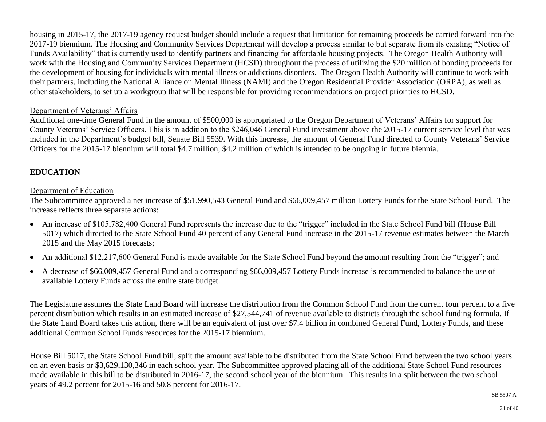housing in 2015-17, the 2017-19 agency request budget should include a request that limitation for remaining proceeds be carried forward into the 2017-19 biennium. The Housing and Community Services Department will develop a process similar to but separate from its existing "Notice of Funds Availability" that is currently used to identify partners and financing for affordable housing projects. The Oregon Health Authority will work with the Housing and Community Services Department (HCSD) throughout the process of utilizing the \$20 million of bonding proceeds for the development of housing for individuals with mental illness or addictions disorders. The Oregon Health Authority will continue to work with their partners, including the National Alliance on Mental Illness (NAMI) and the Oregon Residential Provider Association (ORPA), as well as other stakeholders, to set up a workgroup that will be responsible for providing recommendations on project priorities to HCSD.

#### Department of Veterans' Affairs

Additional one-time General Fund in the amount of \$500,000 is appropriated to the Oregon Department of Veterans' Affairs for support for County Veterans' Service Officers. This is in addition to the \$246,046 General Fund investment above the 2015-17 current service level that was included in the Department's budget bill, Senate Bill 5539. With this increase, the amount of General Fund directed to County Veterans' Service Officers for the 2015-17 biennium will total \$4.7 million, \$4.2 million of which is intended to be ongoing in future biennia.

## **EDUCATION**

## Department of Education

The Subcommittee approved a net increase of \$51,990,543 General Fund and \$66,009,457 million Lottery Funds for the State School Fund. The increase reflects three separate actions:

- An increase of \$105,782,400 General Fund represents the increase due to the "trigger" included in the State School Fund bill (House Bill) 5017) which directed to the State School Fund 40 percent of any General Fund increase in the 2015-17 revenue estimates between the March 2015 and the May 2015 forecasts;
- An additional \$12,217,600 General Fund is made available for the State School Fund beyond the amount resulting from the "trigger"; and
- A decrease of \$66,009,457 General Fund and a corresponding \$66,009,457 Lottery Funds increase is recommended to balance the use of available Lottery Funds across the entire state budget.

The Legislature assumes the State Land Board will increase the distribution from the Common School Fund from the current four percent to a five percent distribution which results in an estimated increase of \$27,544,741 of revenue available to districts through the school funding formula. If the State Land Board takes this action, there will be an equivalent of just over \$7.4 billion in combined General Fund, Lottery Funds, and these additional Common School Funds resources for the 2015-17 biennium.

House Bill 5017, the State School Fund bill, split the amount available to be distributed from the State School Fund between the two school years on an even basis or \$3,629,130,346 in each school year. The Subcommittee approved placing all of the additional State School Fund resources made available in this bill to be distributed in 2016-17, the second school year of the biennium. This results in a split between the two school years of 49.2 percent for 2015-16 and 50.8 percent for 2016-17.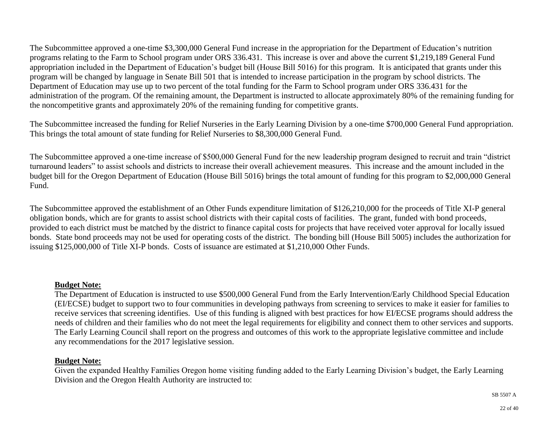The Subcommittee approved a one-time \$3,300,000 General Fund increase in the appropriation for the Department of Education's nutrition programs relating to the Farm to School program under ORS 336.431. This increase is over and above the current \$1,219,189 General Fund appropriation included in the Department of Education's budget bill (House Bill 5016) for this program. It is anticipated that grants under this program will be changed by language in Senate Bill 501 that is intended to increase participation in the program by school districts. The Department of Education may use up to two percent of the total funding for the Farm to School program under ORS 336.431 for the administration of the program. Of the remaining amount, the Department is instructed to allocate approximately 80% of the remaining funding for the noncompetitive grants and approximately 20% of the remaining funding for competitive grants.

The Subcommittee increased the funding for Relief Nurseries in the Early Learning Division by a one-time \$700,000 General Fund appropriation. This brings the total amount of state funding for Relief Nurseries to \$8,300,000 General Fund.

The Subcommittee approved a one-time increase of \$500,000 General Fund for the new leadership program designed to recruit and train "district turnaround leaders" to assist schools and districts to increase their overall achievement measures. This increase and the amount included in the budget bill for the Oregon Department of Education (House Bill 5016) brings the total amount of funding for this program to \$2,000,000 General Fund.

The Subcommittee approved the establishment of an Other Funds expenditure limitation of \$126,210,000 for the proceeds of Title XI-P general obligation bonds, which are for grants to assist school districts with their capital costs of facilities. The grant, funded with bond proceeds, provided to each district must be matched by the district to finance capital costs for projects that have received voter approval for locally issued bonds. State bond proceeds may not be used for operating costs of the district. The bonding bill (House Bill 5005) includes the authorization for issuing \$125,000,000 of Title XI-P bonds. Costs of issuance are estimated at \$1,210,000 Other Funds.

#### **Budget Note:**

The Department of Education is instructed to use \$500,000 General Fund from the Early Intervention/Early Childhood Special Education (EI/ECSE) budget to support two to four communities in developing pathways from screening to services to make it easier for families to receive services that screening identifies. Use of this funding is aligned with best practices for how EI/ECSE programs should address the needs of children and their families who do not meet the legal requirements for eligibility and connect them to other services and supports. The Early Learning Council shall report on the progress and outcomes of this work to the appropriate legislative committee and include any recommendations for the 2017 legislative session.

## **Budget Note:**

Given the expanded Healthy Families Oregon home visiting funding added to the Early Learning Division's budget, the Early Learning Division and the Oregon Health Authority are instructed to: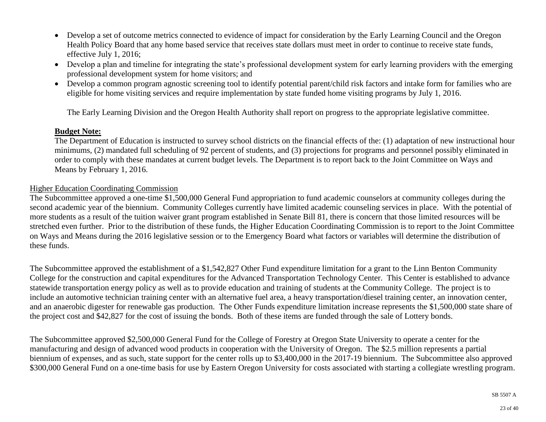- Develop a set of outcome metrics connected to evidence of impact for consideration by the Early Learning Council and the Oregon Health Policy Board that any home based service that receives state dollars must meet in order to continue to receive state funds, effective July 1, 2016;
- Develop a plan and timeline for integrating the state's professional development system for early learning providers with the emerging professional development system for home visitors; and
- Develop a common program agnostic screening tool to identify potential parent/child risk factors and intake form for families who are eligible for home visiting services and require implementation by state funded home visiting programs by July 1, 2016.

The Early Learning Division and the Oregon Health Authority shall report on progress to the appropriate legislative committee.

#### **Budget Note:**

The Department of Education is instructed to survey school districts on the financial effects of the: (1) adaptation of new instructional hour minimums, (2) mandated full scheduling of 92 percent of students, and (3) projections for programs and personnel possibly eliminated in order to comply with these mandates at current budget levels. The Department is to report back to the Joint Committee on Ways and Means by February 1, 2016.

#### Higher Education Coordinating Commission

The Subcommittee approved a one-time \$1,500,000 General Fund appropriation to fund academic counselors at community colleges during the second academic year of the biennium. Community Colleges currently have limited academic counseling services in place. With the potential of more students as a result of the tuition waiver grant program established in Senate Bill 81, there is concern that those limited resources will be stretched even further. Prior to the distribution of these funds, the Higher Education Coordinating Commission is to report to the Joint Committee on Ways and Means during the 2016 legislative session or to the Emergency Board what factors or variables will determine the distribution of these funds.

The Subcommittee approved the establishment of a \$1,542,827 Other Fund expenditure limitation for a grant to the Linn Benton Community College for the construction and capital expenditures for the Advanced Transportation Technology Center. This Center is established to advance statewide transportation energy policy as well as to provide education and training of students at the Community College. The project is to include an automotive technician training center with an alternative fuel area, a heavy transportation/diesel training center, an innovation center, and an anaerobic digester for renewable gas production. The Other Funds expenditure limitation increase represents the \$1,500,000 state share of the project cost and \$42,827 for the cost of issuing the bonds. Both of these items are funded through the sale of Lottery bonds.

The Subcommittee approved \$2,500,000 General Fund for the College of Forestry at Oregon State University to operate a center for the manufacturing and design of advanced wood products in cooperation with the University of Oregon. The \$2.5 million represents a partial biennium of expenses, and as such, state support for the center rolls up to \$3,400,000 in the 2017-19 biennium. The Subcommittee also approved \$300,000 General Fund on a one-time basis for use by Eastern Oregon University for costs associated with starting a collegiate wrestling program.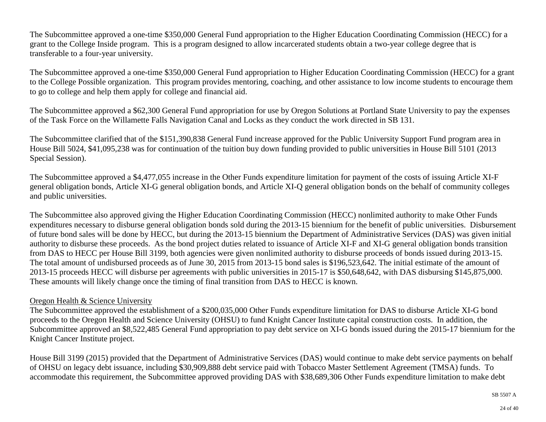The Subcommittee approved a one-time \$350,000 General Fund appropriation to the Higher Education Coordinating Commission (HECC) for a grant to the College Inside program. This is a program designed to allow incarcerated students obtain a two-year college degree that is transferable to a four-year university.

The Subcommittee approved a one-time \$350,000 General Fund appropriation to Higher Education Coordinating Commission (HECC) for a grant to the College Possible organization. This program provides mentoring, coaching, and other assistance to low income students to encourage them to go to college and help them apply for college and financial aid.

The Subcommittee approved a \$62,300 General Fund appropriation for use by Oregon Solutions at Portland State University to pay the expenses of the Task Force on the Willamette Falls Navigation Canal and Locks as they conduct the work directed in SB 131.

The Subcommittee clarified that of the \$151,390,838 General Fund increase approved for the Public University Support Fund program area in House Bill 5024, \$41,095,238 was for continuation of the tuition buy down funding provided to public universities in House Bill 5101 (2013 Special Session).

The Subcommittee approved a \$4,477,055 increase in the Other Funds expenditure limitation for payment of the costs of issuing Article XI-F general obligation bonds, Article XI-G general obligation bonds, and Article XI-Q general obligation bonds on the behalf of community colleges and public universities.

The Subcommittee also approved giving the Higher Education Coordinating Commission (HECC) nonlimited authority to make Other Funds expenditures necessary to disburse general obligation bonds sold during the 2013-15 biennium for the benefit of public universities. Disbursement of future bond sales will be done by HECC, but during the 2013-15 biennium the Department of Administrative Services (DAS) was given initial authority to disburse these proceeds. As the bond project duties related to issuance of Article XI-F and XI-G general obligation bonds transition from DAS to HECC per House Bill 3199, both agencies were given nonlimited authority to disburse proceeds of bonds issued during 2013-15. The total amount of undisbursed proceeds as of June 30, 2015 from 2013-15 bond sales is \$196,523,642. The initial estimate of the amount of 2013-15 proceeds HECC will disburse per agreements with public universities in 2015-17 is \$50,648,642, with DAS disbursing \$145,875,000. These amounts will likely change once the timing of final transition from DAS to HECC is known.

#### Oregon Health & Science University

The Subcommittee approved the establishment of a \$200,035,000 Other Funds expenditure limitation for DAS to disburse Article XI-G bond proceeds to the Oregon Health and Science University (OHSU) to fund Knight Cancer Institute capital construction costs. In addition, the Subcommittee approved an \$8,522,485 General Fund appropriation to pay debt service on XI-G bonds issued during the 2015-17 biennium for the Knight Cancer Institute project.

House Bill 3199 (2015) provided that the Department of Administrative Services (DAS) would continue to make debt service payments on behalf of OHSU on legacy debt issuance, including \$30,909,888 debt service paid with Tobacco Master Settlement Agreement (TMSA) funds. To accommodate this requirement, the Subcommittee approved providing DAS with \$38,689,306 Other Funds expenditure limitation to make debt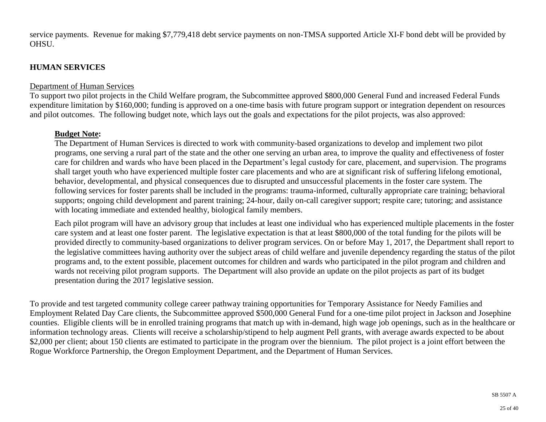service payments. Revenue for making \$7,779,418 debt service payments on non-TMSA supported Article XI-F bond debt will be provided by OHSU.

## **HUMAN SERVICES**

#### Department of Human Services

To support two pilot projects in the Child Welfare program, the Subcommittee approved \$800,000 General Fund and increased Federal Funds expenditure limitation by \$160,000; funding is approved on a one-time basis with future program support or integration dependent on resources and pilot outcomes. The following budget note, which lays out the goals and expectations for the pilot projects, was also approved:

## **Budget Note:**

The Department of Human Services is directed to work with community-based organizations to develop and implement two pilot programs, one serving a rural part of the state and the other one serving an urban area, to improve the quality and effectiveness of foster care for children and wards who have been placed in the Department's legal custody for care, placement, and supervision. The programs shall target youth who have experienced multiple foster care placements and who are at significant risk of suffering lifelong emotional, behavior, developmental, and physical consequences due to disrupted and unsuccessful placements in the foster care system. The following services for foster parents shall be included in the programs: trauma-informed, culturally appropriate care training; behavioral supports; ongoing child development and parent training; 24-hour, daily on-call caregiver support; respite care; tutoring; and assistance with locating immediate and extended healthy, biological family members.

Each pilot program will have an advisory group that includes at least one individual who has experienced multiple placements in the foster care system and at least one foster parent. The legislative expectation is that at least \$800,000 of the total funding for the pilots will be provided directly to community-based organizations to deliver program services. On or before May 1, 2017, the Department shall report to the legislative committees having authority over the subject areas of child welfare and juvenile dependency regarding the status of the pilot programs and, to the extent possible, placement outcomes for children and wards who participated in the pilot program and children and wards not receiving pilot program supports. The Department will also provide an update on the pilot projects as part of its budget presentation during the 2017 legislative session.

To provide and test targeted community college career pathway training opportunities for Temporary Assistance for Needy Families and Employment Related Day Care clients, the Subcommittee approved \$500,000 General Fund for a one-time pilot project in Jackson and Josephine counties. Eligible clients will be in enrolled training programs that match up with in-demand, high wage job openings, such as in the healthcare or information technology areas. Clients will receive a scholarship/stipend to help augment Pell grants, with average awards expected to be about \$2,000 per client; about 150 clients are estimated to participate in the program over the biennium. The pilot project is a joint effort between the Rogue Workforce Partnership, the Oregon Employment Department, and the Department of Human Services.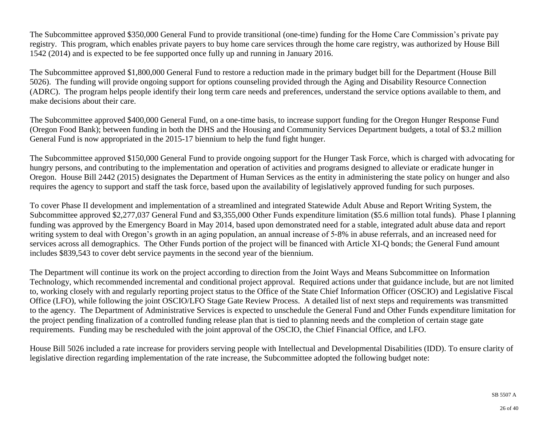The Subcommittee approved \$350,000 General Fund to provide transitional (one-time) funding for the Home Care Commission's private pay registry. This program, which enables private payers to buy home care services through the home care registry, was authorized by House Bill 1542 (2014) and is expected to be fee supported once fully up and running in January 2016.

The Subcommittee approved \$1,800,000 General Fund to restore a reduction made in the primary budget bill for the Department (House Bill 5026). The funding will provide ongoing support for options counseling provided through the Aging and Disability Resource Connection (ADRC). The program helps people identify their long term care needs and preferences, understand the service options available to them, and make decisions about their care.

The Subcommittee approved \$400,000 General Fund, on a one-time basis, to increase support funding for the Oregon Hunger Response Fund (Oregon Food Bank); between funding in both the DHS and the Housing and Community Services Department budgets, a total of \$3.2 million General Fund is now appropriated in the 2015-17 biennium to help the fund fight hunger.

The Subcommittee approved \$150,000 General Fund to provide ongoing support for the Hunger Task Force, which is charged with advocating for hungry persons, and contributing to the implementation and operation of activities and programs designed to alleviate or eradicate hunger in Oregon. House Bill 2442 (2015) designates the Department of Human Services as the entity in administering the state policy on hunger and also requires the agency to support and staff the task force, based upon the availability of legislatively approved funding for such purposes.

To cover Phase II development and implementation of a streamlined and integrated Statewide Adult Abuse and Report Writing System, the Subcommittee approved \$2,277,037 General Fund and \$3,355,000 Other Funds expenditure limitation (\$5.6 million total funds). Phase I planning funding was approved by the Emergency Board in May 2014, based upon demonstrated need for a stable, integrated adult abuse data and report writing system to deal with Oregon's growth in an aging population, an annual increase of 5‐8% in abuse referrals, and an increased need for services across all demographics. The Other Funds portion of the project will be financed with Article XI-Q bonds; the General Fund amount includes \$839,543 to cover debt service payments in the second year of the biennium.

The Department will continue its work on the project according to direction from the Joint Ways and Means Subcommittee on Information Technology, which recommended incremental and conditional project approval. Required actions under that guidance include, but are not limited to, working closely with and regularly reporting project status to the Office of the State Chief Information Officer (OSCIO) and Legislative Fiscal Office (LFO), while following the joint OSCIO/LFO Stage Gate Review Process. A detailed list of next steps and requirements was transmitted to the agency. The Department of Administrative Services is expected to unschedule the General Fund and Other Funds expenditure limitation for the project pending finalization of a controlled funding release plan that is tied to planning needs and the completion of certain stage gate requirements. Funding may be rescheduled with the joint approval of the OSCIO, the Chief Financial Office, and LFO.

House Bill 5026 included a rate increase for providers serving people with Intellectual and Developmental Disabilities (IDD). To ensure clarity of legislative direction regarding implementation of the rate increase, the Subcommittee adopted the following budget note: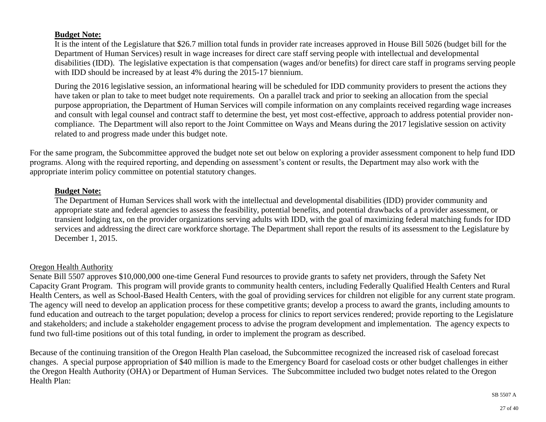#### **Budget Note:**

It is the intent of the Legislature that \$26.7 million total funds in provider rate increases approved in House Bill 5026 (budget bill for the Department of Human Services) result in wage increases for direct care staff serving people with intellectual and developmental disabilities (IDD). The legislative expectation is that compensation (wages and/or benefits) for direct care staff in programs serving people with IDD should be increased by at least 4% during the 2015-17 biennium.

During the 2016 legislative session, an informational hearing will be scheduled for IDD community providers to present the actions they have taken or plan to take to meet budget note requirements. On a parallel track and prior to seeking an allocation from the special purpose appropriation, the Department of Human Services will compile information on any complaints received regarding wage increases and consult with legal counsel and contract staff to determine the best, yet most cost-effective, approach to address potential provider noncompliance. The Department will also report to the Joint Committee on Ways and Means during the 2017 legislative session on activity related to and progress made under this budget note.

For the same program, the Subcommittee approved the budget note set out below on exploring a provider assessment component to help fund IDD programs. Along with the required reporting, and depending on assessment's content or results, the Department may also work with the appropriate interim policy committee on potential statutory changes.

#### **Budget Note:**

The Department of Human Services shall work with the intellectual and developmental disabilities (IDD) provider community and appropriate state and federal agencies to assess the feasibility, potential benefits, and potential drawbacks of a provider assessment, or transient lodging tax, on the provider organizations serving adults with IDD, with the goal of maximizing federal matching funds for IDD services and addressing the direct care workforce shortage. The Department shall report the results of its assessment to the Legislature by December 1, 2015.

#### Oregon Health Authority

Senate Bill 5507 approves \$10,000,000 one-time General Fund resources to provide grants to safety net providers, through the Safety Net Capacity Grant Program. This program will provide grants to community health centers, including Federally Qualified Health Centers and Rural Health Centers, as well as School-Based Health Centers, with the goal of providing services for children not eligible for any current state program. The agency will need to develop an application process for these competitive grants; develop a process to award the grants, including amounts to fund education and outreach to the target population; develop a process for clinics to report services rendered; provide reporting to the Legislature and stakeholders; and include a stakeholder engagement process to advise the program development and implementation. The agency expects to fund two full-time positions out of this total funding, in order to implement the program as described.

Because of the continuing transition of the Oregon Health Plan caseload, the Subcommittee recognized the increased risk of caseload forecast changes. A special purpose appropriation of \$40 million is made to the Emergency Board for caseload costs or other budget challenges in either the Oregon Health Authority (OHA) or Department of Human Services. The Subcommittee included two budget notes related to the Oregon Health Plan: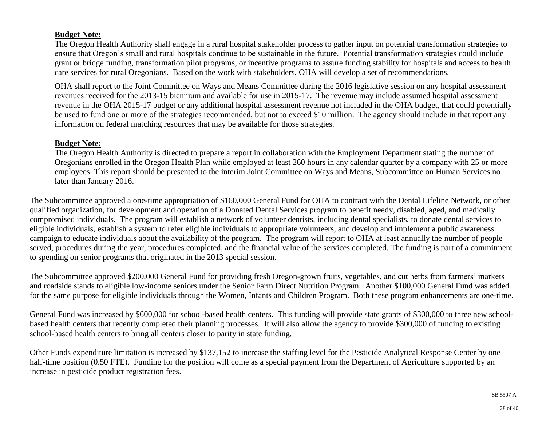#### **Budget Note:**

The Oregon Health Authority shall engage in a rural hospital stakeholder process to gather input on potential transformation strategies to ensure that Oregon's small and rural hospitals continue to be sustainable in the future. Potential transformation strategies could include grant or bridge funding, transformation pilot programs, or incentive programs to assure funding stability for hospitals and access to health care services for rural Oregonians. Based on the work with stakeholders, OHA will develop a set of recommendations.

OHA shall report to the Joint Committee on Ways and Means Committee during the 2016 legislative session on any hospital assessment revenues received for the 2013-15 biennium and available for use in 2015-17. The revenue may include assumed hospital assessment revenue in the OHA 2015-17 budget or any additional hospital assessment revenue not included in the OHA budget, that could potentially be used to fund one or more of the strategies recommended, but not to exceed \$10 million. The agency should include in that report any information on federal matching resources that may be available for those strategies.

#### **Budget Note:**

The Oregon Health Authority is directed to prepare a report in collaboration with the Employment Department stating the number of Oregonians enrolled in the Oregon Health Plan while employed at least 260 hours in any calendar quarter by a company with 25 or more employees. This report should be presented to the interim Joint Committee on Ways and Means, Subcommittee on Human Services no later than January 2016.

The Subcommittee approved a one-time appropriation of \$160,000 General Fund for OHA to contract with the Dental Lifeline Network, or other qualified organization, for development and operation of a Donated Dental Services program to benefit needy, disabled, aged, and medically compromised individuals. The program will establish a network of volunteer dentists, including dental specialists, to donate dental services to eligible individuals, establish a system to refer eligible individuals to appropriate volunteers, and develop and implement a public awareness campaign to educate individuals about the availability of the program. The program will report to OHA at least annually the number of people served, procedures during the year, procedures completed, and the financial value of the services completed. The funding is part of a commitment to spending on senior programs that originated in the 2013 special session.

The Subcommittee approved \$200,000 General Fund for providing fresh Oregon-grown fruits, vegetables, and cut herbs from farmers' markets and roadside stands to eligible low-income seniors under the Senior Farm Direct Nutrition Program. Another \$100,000 General Fund was added for the same purpose for eligible individuals through the Women, Infants and Children Program. Both these program enhancements are one-time.

General Fund was increased by \$600,000 for school-based health centers. This funding will provide state grants of \$300,000 to three new schoolbased health centers that recently completed their planning processes. It will also allow the agency to provide \$300,000 of funding to existing school-based health centers to bring all centers closer to parity in state funding.

Other Funds expenditure limitation is increased by \$137,152 to increase the staffing level for the Pesticide Analytical Response Center by one half-time position (0.50 FTE). Funding for the position will come as a special payment from the Department of Agriculture supported by an increase in pesticide product registration fees.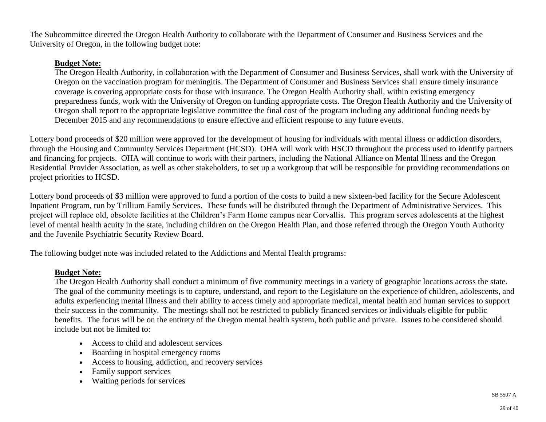The Subcommittee directed the Oregon Health Authority to collaborate with the Department of Consumer and Business Services and the University of Oregon, in the following budget note:

#### **Budget Note:**

The Oregon Health Authority, in collaboration with the Department of Consumer and Business Services, shall work with the University of Oregon on the vaccination program for meningitis. The Department of Consumer and Business Services shall ensure timely insurance coverage is covering appropriate costs for those with insurance. The Oregon Health Authority shall, within existing emergency preparedness funds, work with the University of Oregon on funding appropriate costs. The Oregon Health Authority and the University of Oregon shall report to the appropriate legislative committee the final cost of the program including any additional funding needs by December 2015 and any recommendations to ensure effective and efficient response to any future events.

Lottery bond proceeds of \$20 million were approved for the development of housing for individuals with mental illness or addiction disorders, through the Housing and Community Services Department (HCSD). OHA will work with HSCD throughout the process used to identify partners and financing for projects. OHA will continue to work with their partners, including the National Alliance on Mental Illness and the Oregon Residential Provider Association, as well as other stakeholders, to set up a workgroup that will be responsible for providing recommendations on project priorities to HCSD.

Lottery bond proceeds of \$3 million were approved to fund a portion of the costs to build a new sixteen-bed facility for the Secure Adolescent Inpatient Program, run by Trillium Family Services. These funds will be distributed through the Department of Administrative Services. This project will replace old, obsolete facilities at the Children's Farm Home campus near Corvallis. This program serves adolescents at the highest level of mental health acuity in the state, including children on the Oregon Health Plan, and those referred through the Oregon Youth Authority and the Juvenile Psychiatric Security Review Board.

The following budget note was included related to the Addictions and Mental Health programs:

#### **Budget Note:**

The Oregon Health Authority shall conduct a minimum of five community meetings in a variety of geographic locations across the state. The goal of the community meetings is to capture, understand, and report to the Legislature on the experience of children, adolescents, and adults experiencing mental illness and their ability to access timely and appropriate medical, mental health and human services to support their success in the community. The meetings shall not be restricted to publicly financed services or individuals eligible for public benefits. The focus will be on the entirety of the Oregon mental health system, both public and private. Issues to be considered should include but not be limited to:

- Access to child and adolescent services
- Boarding in hospital emergency rooms
- Access to housing, addiction, and recovery services
- Family support services
- Waiting periods for services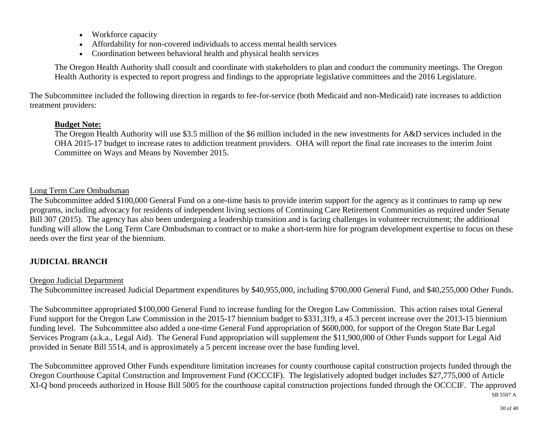- Workforce capacity
- Affordability for non-covered individuals to access mental health services
- Coordination between behavioral health and physical health services

The Oregon Health Authority shall consult and coordinate with stakeholders to plan and conduct the community meetings. The Oregon Health Authority is expected to report progress and findings to the appropriate legislative committees and the 2016 Legislature.

The Subcommittee included the following direction in regards to fee-for-service (both Medicaid and non-Medicaid) rate increases to addiction treatment providers:

#### **Budget Note:**

The Oregon Health Authority will use \$3.5 million of the \$6 million included in the new investments for A&D services included in the OHA 2015-17 budget to increase rates to addiction treatment providers. OHA will report the final rate increases to the interim Joint Committee on Ways and Means by November 2015.

## Long Term Care Ombudsman

The Subcommittee added \$100,000 General Fund on a one-time basis to provide interim support for the agency as it continues to ramp up new programs, including advocacy for residents of independent living sections of Continuing Care Retirement Communities as required under Senate Bill 307 (2015). The agency has also been undergoing a leadership transition and is facing challenges in volunteer recruitment; the additional funding will allow the Long Term Care Ombudsman to contract or to make a short-term hire for program development expertise to focus on these needs over the first year of the biennium.

## **JUDICIAL BRANCH**

#### Oregon Judicial Department

The Subcommittee increased Judicial Department expenditures by \$40,955,000, including \$700,000 General Fund, and \$40,255,000 Other Funds.

The Subcommittee appropriated \$100,000 General Fund to increase funding for the Oregon Law Commission. This action raises total General Fund support for the Oregon Law Commission in the 2015-17 biennium budget to \$331,319, a 45.3 percent increase over the 2013-15 biennium funding level. The Subcommittee also added a one-time General Fund appropriation of \$600,000, for support of the Oregon State Bar Legal Services Program (a.k.a., Legal Aid). The General Fund appropriation will supplement the \$11,900,000 of Other Funds support for Legal Aid provided in Senate Bill 5514, and is approximately a 5 percent increase over the base funding level.

The Subcommittee approved Other Funds expenditure limitation increases for county courthouse capital construction projects funded through the Oregon Courthouse Capital Construction and Improvement Fund (OCCCIF). The legislatively adopted budget includes \$27,775,000 of Article XI-Q bond proceeds authorized in House Bill 5005 for the courthouse capital construction projections funded through the OCCCIF. The approved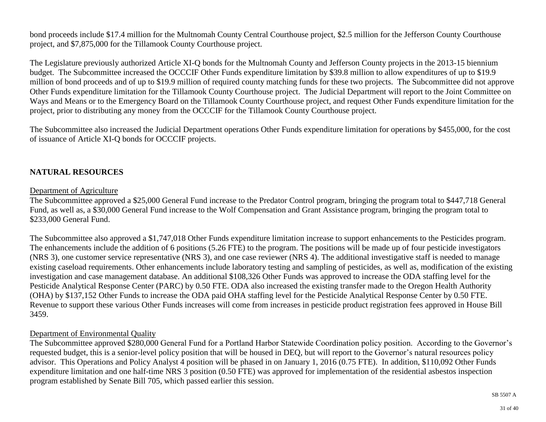bond proceeds include \$17.4 million for the Multnomah County Central Courthouse project, \$2.5 million for the Jefferson County Courthouse project, and \$7,875,000 for the Tillamook County Courthouse project.

The Legislature previously authorized Article XI-Q bonds for the Multnomah County and Jefferson County projects in the 2013-15 biennium budget. The Subcommittee increased the OCCCIF Other Funds expenditure limitation by \$39.8 million to allow expenditures of up to \$19.9 million of bond proceeds and of up to \$19.9 million of required county matching funds for these two projects. The Subcommittee did not approve Other Funds expenditure limitation for the Tillamook County Courthouse project. The Judicial Department will report to the Joint Committee on Ways and Means or to the Emergency Board on the Tillamook County Courthouse project, and request Other Funds expenditure limitation for the project, prior to distributing any money from the OCCCIF for the Tillamook County Courthouse project.

The Subcommittee also increased the Judicial Department operations Other Funds expenditure limitation for operations by \$455,000, for the cost of issuance of Article XI-Q bonds for OCCCIF projects.

## **NATURAL RESOURCES**

#### Department of Agriculture

The Subcommittee approved a \$25,000 General Fund increase to the Predator Control program, bringing the program total to \$447,718 General Fund, as well as, a \$30,000 General Fund increase to the Wolf Compensation and Grant Assistance program, bringing the program total to \$233,000 General Fund.

The Subcommittee also approved a \$1,747,018 Other Funds expenditure limitation increase to support enhancements to the Pesticides program. The enhancements include the addition of 6 positions (5.26 FTE) to the program. The positions will be made up of four pesticide investigators (NRS 3), one customer service representative (NRS 3), and one case reviewer (NRS 4). The additional investigative staff is needed to manage existing caseload requirements. Other enhancements include laboratory testing and sampling of pesticides, as well as, modification of the existing investigation and case management database. An additional \$108,326 Other Funds was approved to increase the ODA staffing level for the Pesticide Analytical Response Center (PARC) by 0.50 FTE. ODA also increased the existing transfer made to the Oregon Health Authority (OHA) by \$137,152 Other Funds to increase the ODA paid OHA staffing level for the Pesticide Analytical Response Center by 0.50 FTE. Revenue to support these various Other Funds increases will come from increases in pesticide product registration fees approved in House Bill 3459.

#### Department of Environmental Quality

The Subcommittee approved \$280,000 General Fund for a Portland Harbor Statewide Coordination policy position. According to the Governor's requested budget, this is a senior-level policy position that will be housed in DEQ, but will report to the Governor's natural resources policy advisor. This Operations and Policy Analyst 4 position will be phased in on January 1, 2016 (0.75 FTE). In addition, \$110,092 Other Funds expenditure limitation and one half-time NRS 3 position (0.50 FTE) was approved for implementation of the residential asbestos inspection program established by Senate Bill 705, which passed earlier this session.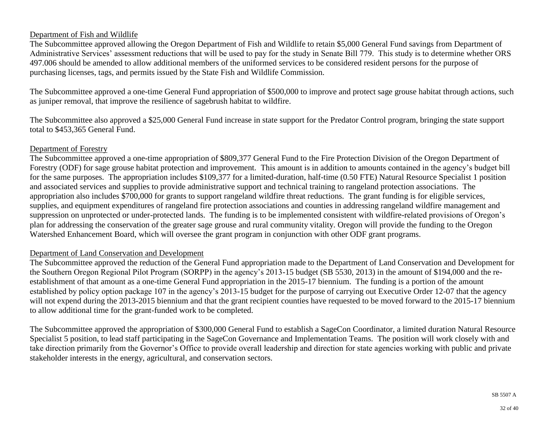## Department of Fish and Wildlife

The Subcommittee approved allowing the Oregon Department of Fish and Wildlife to retain \$5,000 General Fund savings from Department of Administrative Services' assessment reductions that will be used to pay for the study in Senate Bill 779. This study is to determine whether ORS 497.006 should be amended to allow additional members of the uniformed services to be considered resident persons for the purpose of purchasing licenses, tags, and permits issued by the State Fish and Wildlife Commission.

The Subcommittee approved a one-time General Fund appropriation of \$500,000 to improve and protect sage grouse habitat through actions, such as juniper removal, that improve the resilience of sagebrush habitat to wildfire.

The Subcommittee also approved a \$25,000 General Fund increase in state support for the Predator Control program, bringing the state support total to \$453,365 General Fund.

#### Department of Forestry

The Subcommittee approved a one-time appropriation of \$809,377 General Fund to the Fire Protection Division of the Oregon Department of Forestry (ODF) for sage grouse habitat protection and improvement. This amount is in addition to amounts contained in the agency's budget bill for the same purposes. The appropriation includes \$109,377 for a limited-duration, half-time (0.50 FTE) Natural Resource Specialist 1 position and associated services and supplies to provide administrative support and technical training to rangeland protection associations. The appropriation also includes \$700,000 for grants to support rangeland wildfire threat reductions. The grant funding is for eligible services, supplies, and equipment expenditures of rangeland fire protection associations and counties in addressing rangeland wildfire management and suppression on unprotected or under-protected lands. The funding is to be implemented consistent with wildfire-related provisions of Oregon's plan for addressing the conservation of the greater sage grouse and rural community vitality. Oregon will provide the funding to the Oregon Watershed Enhancement Board, which will oversee the grant program in conjunction with other ODF grant programs.

#### Department of Land Conservation and Development

The Subcommittee approved the reduction of the General Fund appropriation made to the Department of Land Conservation and Development for the Southern Oregon Regional Pilot Program (SORPP) in the agency's 2013-15 budget (SB 5530, 2013) in the amount of \$194,000 and the reestablishment of that amount as a one-time General Fund appropriation in the 2015-17 biennium. The funding is a portion of the amount established by policy option package 107 in the agency's 2013-15 budget for the purpose of carrying out Executive Order 12-07 that the agency will not expend during the 2013-2015 biennium and that the grant recipient counties have requested to be moved forward to the 2015-17 biennium to allow additional time for the grant-funded work to be completed.

The Subcommittee approved the appropriation of \$300,000 General Fund to establish a SageCon Coordinator, a limited duration Natural Resource Specialist 5 position, to lead staff participating in the SageCon Governance and Implementation Teams. The position will work closely with and take direction primarily from the Governor's Office to provide overall leadership and direction for state agencies working with public and private stakeholder interests in the energy, agricultural, and conservation sectors.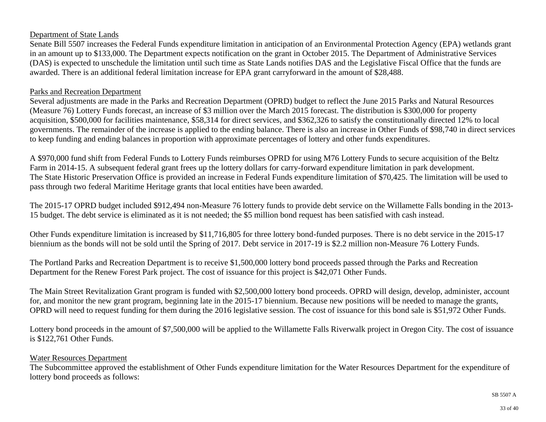#### Department of State Lands

Senate Bill 5507 increases the Federal Funds expenditure limitation in anticipation of an Environmental Protection Agency (EPA) wetlands grant in an amount up to \$133,000. The Department expects notification on the grant in October 2015. The Department of Administrative Services (DAS) is expected to unschedule the limitation until such time as State Lands notifies DAS and the Legislative Fiscal Office that the funds are awarded. There is an additional federal limitation increase for EPA grant carryforward in the amount of \$28,488.

#### Parks and Recreation Department

Several adjustments are made in the Parks and Recreation Department (OPRD) budget to reflect the June 2015 Parks and Natural Resources (Measure 76) Lottery Funds forecast, an increase of \$3 million over the March 2015 forecast. The distribution is \$300,000 for property acquisition, \$500,000 for facilities maintenance, \$58,314 for direct services, and \$362,326 to satisfy the constitutionally directed 12% to local governments. The remainder of the increase is applied to the ending balance. There is also an increase in Other Funds of \$98,740 in direct services to keep funding and ending balances in proportion with approximate percentages of lottery and other funds expenditures.

A \$970,000 fund shift from Federal Funds to Lottery Funds reimburses OPRD for using M76 Lottery Funds to secure acquisition of the Beltz Farm in 2014-15. A subsequent federal grant frees up the lottery dollars for carry-forward expenditure limitation in park development. The State Historic Preservation Office is provided an increase in Federal Funds expenditure limitation of \$70,425. The limitation will be used to pass through two federal Maritime Heritage grants that local entities have been awarded.

The 2015-17 OPRD budget included \$912,494 non-Measure 76 lottery funds to provide debt service on the Willamette Falls bonding in the 2013- 15 budget. The debt service is eliminated as it is not needed; the \$5 million bond request has been satisfied with cash instead.

Other Funds expenditure limitation is increased by \$11,716,805 for three lottery bond-funded purposes. There is no debt service in the 2015-17 biennium as the bonds will not be sold until the Spring of 2017. Debt service in 2017-19 is \$2.2 million non-Measure 76 Lottery Funds.

The Portland Parks and Recreation Department is to receive \$1,500,000 lottery bond proceeds passed through the Parks and Recreation Department for the Renew Forest Park project. The cost of issuance for this project is \$42,071 Other Funds.

The Main Street Revitalization Grant program is funded with \$2,500,000 lottery bond proceeds. OPRD will design, develop, administer, account for, and monitor the new grant program, beginning late in the 2015-17 biennium. Because new positions will be needed to manage the grants, OPRD will need to request funding for them during the 2016 legislative session. The cost of issuance for this bond sale is \$51,972 Other Funds.

Lottery bond proceeds in the amount of \$7,500,000 will be applied to the Willamette Falls Riverwalk project in Oregon City. The cost of issuance is \$122,761 Other Funds.

#### Water Resources Department

The Subcommittee approved the establishment of Other Funds expenditure limitation for the Water Resources Department for the expenditure of lottery bond proceeds as follows: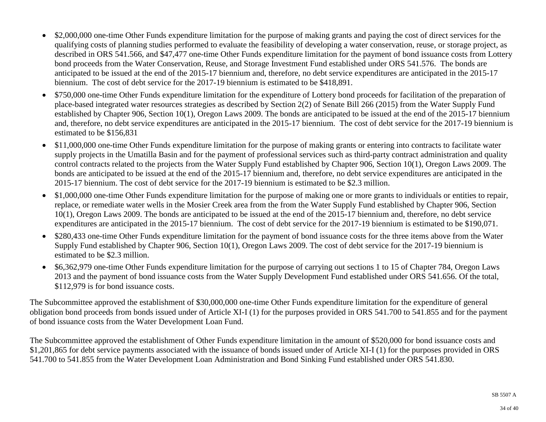- \$2,000,000 one-time Other Funds expenditure limitation for the purpose of making grants and paying the cost of direct services for the qualifying costs of planning studies performed to evaluate the feasibility of developing a water conservation, reuse, or storage project, as described in ORS 541.566, and \$47,477 one-time Other Funds expenditure limitation for the payment of bond issuance costs from Lottery bond proceeds from the Water Conservation, Reuse, and Storage Investment Fund established under ORS 541.576. The bonds are anticipated to be issued at the end of the 2015-17 biennium and, therefore, no debt service expenditures are anticipated in the 2015-17 biennium. The cost of debt service for the 2017-19 biennium is estimated to be \$418,891.
- \$750,000 one-time Other Funds expenditure limitation for the expenditure of Lottery bond proceeds for facilitation of the preparation of place-based integrated water resources strategies as described by Section 2(2) of Senate Bill 266 (2015) from the Water Supply Fund established by Chapter 906, Section 10(1), Oregon Laws 2009. The bonds are anticipated to be issued at the end of the 2015-17 biennium and, therefore, no debt service expenditures are anticipated in the 2015-17 biennium. The cost of debt service for the 2017-19 biennium is estimated to be \$156,831
- \$11,000,000 one-time Other Funds expenditure limitation for the purpose of making grants or entering into contracts to facilitate water supply projects in the Umatilla Basin and for the payment of professional services such as third-party contract administration and quality control contracts related to the projects from the Water Supply Fund established by Chapter 906, Section 10(1), Oregon Laws 2009. The bonds are anticipated to be issued at the end of the 2015-17 biennium and, therefore, no debt service expenditures are anticipated in the 2015-17 biennium. The cost of debt service for the 2017-19 biennium is estimated to be \$2.3 million.
- \$1,000,000 one-time Other Funds expenditure limitation for the purpose of making one or more grants to individuals or entities to repair, replace, or remediate water wells in the Mosier Creek area from the from the Water Supply Fund established by Chapter 906, Section 10(1), Oregon Laws 2009. The bonds are anticipated to be issued at the end of the 2015-17 biennium and, therefore, no debt service expenditures are anticipated in the 2015-17 biennium. The cost of debt service for the 2017-19 biennium is estimated to be \$190,071.
- \$280,433 one-time Other Funds expenditure limitation for the payment of bond issuance costs for the three items above from the Water Supply Fund established by Chapter 906, Section 10(1), Oregon Laws 2009. The cost of debt service for the 2017-19 biennium is estimated to be \$2.3 million.
- \$6,362,979 one-time Other Funds expenditure limitation for the purpose of carrying out sections 1 to 15 of Chapter 784, Oregon Laws 2013 and the payment of bond issuance costs from the Water Supply Development Fund established under ORS 541.656. Of the total, \$112,979 is for bond issuance costs.

The Subcommittee approved the establishment of \$30,000,000 one-time Other Funds expenditure limitation for the expenditure of general obligation bond proceeds from bonds issued under of Article XI-I (1) for the purposes provided in ORS 541.700 to 541.855 and for the payment of bond issuance costs from the Water Development Loan Fund.

The Subcommittee approved the establishment of Other Funds expenditure limitation in the amount of \$520,000 for bond issuance costs and \$1,201,865 for debt service payments associated with the issuance of bonds issued under of Article XI-I (1) for the purposes provided in ORS 541.700 to 541.855 from the Water Development Loan Administration and Bond Sinking Fund established under ORS 541.830.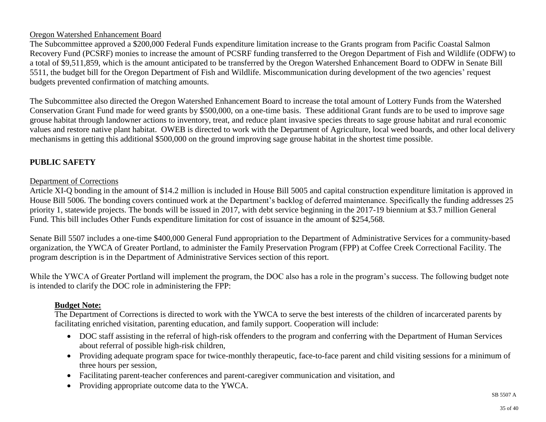## Oregon Watershed Enhancement Board

The Subcommittee approved a \$200,000 Federal Funds expenditure limitation increase to the Grants program from Pacific Coastal Salmon Recovery Fund (PCSRF) monies to increase the amount of PCSRF funding transferred to the Oregon Department of Fish and Wildlife (ODFW) to a total of \$9,511,859, which is the amount anticipated to be transferred by the Oregon Watershed Enhancement Board to ODFW in Senate Bill 5511, the budget bill for the Oregon Department of Fish and Wildlife. Miscommunication during development of the two agencies' request budgets prevented confirmation of matching amounts.

The Subcommittee also directed the Oregon Watershed Enhancement Board to increase the total amount of Lottery Funds from the Watershed Conservation Grant Fund made for weed grants by \$500,000, on a one-time basis. These additional Grant funds are to be used to improve sage grouse habitat through landowner actions to inventory, treat, and reduce plant invasive species threats to sage grouse habitat and rural economic values and restore native plant habitat. OWEB is directed to work with the Department of Agriculture, local weed boards, and other local delivery mechanisms in getting this additional \$500,000 on the ground improving sage grouse habitat in the shortest time possible.

## **PUBLIC SAFETY**

#### Department of Corrections

Article XI-Q bonding in the amount of \$14.2 million is included in House Bill 5005 and capital construction expenditure limitation is approved in House Bill 5006. The bonding covers continued work at the Department's backlog of deferred maintenance. Specifically the funding addresses 25 priority 1, statewide projects. The bonds will be issued in 2017, with debt service beginning in the 2017-19 biennium at \$3.7 million General Fund. This bill includes Other Funds expenditure limitation for cost of issuance in the amount of \$254,568.

Senate Bill 5507 includes a one-time \$400,000 General Fund appropriation to the Department of Administrative Services for a community-based organization, the YWCA of Greater Portland, to administer the Family Preservation Program (FPP) at Coffee Creek Correctional Facility. The program description is in the Department of Administrative Services section of this report.

While the YWCA of Greater Portland will implement the program, the DOC also has a role in the program's success. The following budget note is intended to clarify the DOC role in administering the FPP:

#### **Budget Note:**

The Department of Corrections is directed to work with the YWCA to serve the best interests of the children of incarcerated parents by facilitating enriched visitation, parenting education, and family support. Cooperation will include:

- DOC staff assisting in the referral of high-risk offenders to the program and conferring with the Department of Human Services about referral of possible high-risk children,
- Providing adequate program space for twice-monthly therapeutic, face-to-face parent and child visiting sessions for a minimum of three hours per session,
- Facilitating parent-teacher conferences and parent-caregiver communication and visitation, and
- Providing appropriate outcome data to the YWCA.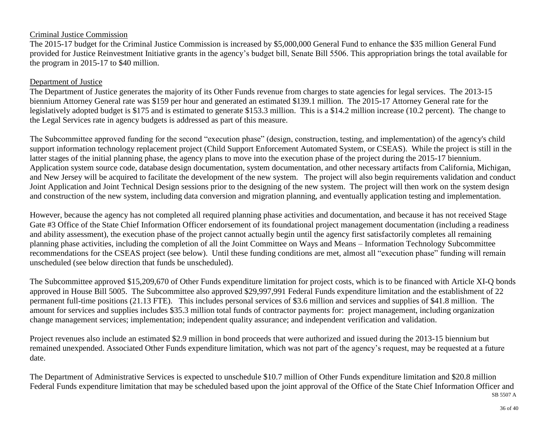## Criminal Justice Commission

The 2015-17 budget for the Criminal Justice Commission is increased by \$5,000,000 General Fund to enhance the \$35 million General Fund provided for Justice Reinvestment Initiative grants in the agency's budget bill, Senate Bill 5506. This appropriation brings the total available for the program in 2015-17 to \$40 million.

#### Department of Justice

The Department of Justice generates the majority of its Other Funds revenue from charges to state agencies for legal services. The 2013-15 biennium Attorney General rate was \$159 per hour and generated an estimated \$139.1 million. The 2015-17 Attorney General rate for the legislatively adopted budget is \$175 and is estimated to generate \$153.3 million. This is a \$14.2 million increase (10.2 percent). The change to the Legal Services rate in agency budgets is addressed as part of this measure.

The Subcommittee approved funding for the second "execution phase" (design, construction, testing, and implementation) of the agency's child support information technology replacement project (Child Support Enforcement Automated System, or CSEAS). While the project is still in the latter stages of the initial planning phase, the agency plans to move into the execution phase of the project during the 2015-17 biennium. Application system source code, database design documentation, system documentation, and other necessary artifacts from California, Michigan, and New Jersey will be acquired to facilitate the development of the new system. The project will also begin requirements validation and conduct Joint Application and Joint Technical Design sessions prior to the designing of the new system. The project will then work on the system design and construction of the new system, including data conversion and migration planning, and eventually application testing and implementation.

However, because the agency has not completed all required planning phase activities and documentation, and because it has not received Stage Gate #3 Office of the State Chief Information Officer endorsement of its foundational project management documentation (including a readiness and ability assessment), the execution phase of the project cannot actually begin until the agency first satisfactorily completes all remaining planning phase activities, including the completion of all the Joint Committee on Ways and Means – Information Technology Subcommittee recommendations for the CSEAS project (see below). Until these funding conditions are met, almost all "execution phase" funding will remain unscheduled (see below direction that funds be unscheduled).

The Subcommittee approved \$15,209,670 of Other Funds expenditure limitation for project costs, which is to be financed with Article XI-Q bonds approved in House Bill 5005. The Subcommittee also approved \$29,997,991 Federal Funds expenditure limitation and the establishment of 22 permanent full-time positions (21.13 FTE). This includes personal services of \$3.6 million and services and supplies of \$41.8 million. The amount for services and supplies includes \$35.3 million total funds of contractor payments for: project management, including organization change management services; implementation; independent quality assurance; and independent verification and validation.

Project revenues also include an estimated \$2.9 million in bond proceeds that were authorized and issued during the 2013-15 biennium but remained unexpended. Associated Other Funds expenditure limitation, which was not part of the agency's request, may be requested at a future date.

SB 5507 A The Department of Administrative Services is expected to unschedule \$10.7 million of Other Funds expenditure limitation and \$20.8 million Federal Funds expenditure limitation that may be scheduled based upon the joint approval of the Office of the State Chief Information Officer and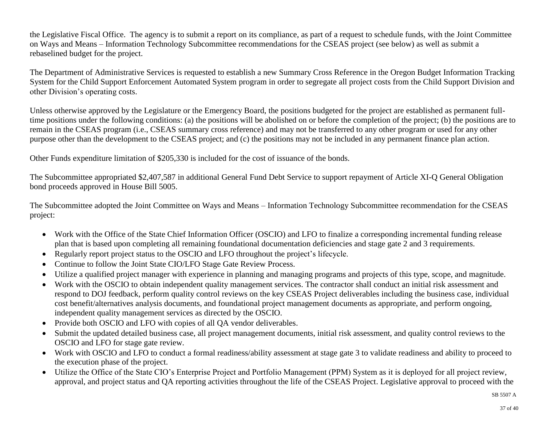the Legislative Fiscal Office. The agency is to submit a report on its compliance, as part of a request to schedule funds, with the Joint Committee on Ways and Means – Information Technology Subcommittee recommendations for the CSEAS project (see below) as well as submit a rebaselined budget for the project.

The Department of Administrative Services is requested to establish a new Summary Cross Reference in the Oregon Budget Information Tracking System for the Child Support Enforcement Automated System program in order to segregate all project costs from the Child Support Division and other Division's operating costs.

Unless otherwise approved by the Legislature or the Emergency Board, the positions budgeted for the project are established as permanent fulltime positions under the following conditions: (a) the positions will be abolished on or before the completion of the project; (b) the positions are to remain in the CSEAS program (i.e., CSEAS summary cross reference) and may not be transferred to any other program or used for any other purpose other than the development to the CSEAS project; and (c) the positions may not be included in any permanent finance plan action.

Other Funds expenditure limitation of \$205,330 is included for the cost of issuance of the bonds.

The Subcommittee appropriated \$2,407,587 in additional General Fund Debt Service to support repayment of Article XI-Q General Obligation bond proceeds approved in House Bill 5005.

The Subcommittee adopted the Joint Committee on Ways and Means – Information Technology Subcommittee recommendation for the CSEAS project:

- Work with the Office of the State Chief Information Officer (OSCIO) and LFO to finalize a corresponding incremental funding release plan that is based upon completing all remaining foundational documentation deficiencies and stage gate 2 and 3 requirements.
- Regularly report project status to the OSCIO and LFO throughout the project's lifecycle.
- Continue to follow the Joint State CIO/LFO Stage Gate Review Process.
- Utilize a qualified project manager with experience in planning and managing programs and projects of this type, scope, and magnitude.
- Work with the OSCIO to obtain independent quality management services. The contractor shall conduct an initial risk assessment and respond to DOJ feedback, perform quality control reviews on the key CSEAS Project deliverables including the business case, individual cost benefit/alternatives analysis documents, and foundational project management documents as appropriate, and perform ongoing, independent quality management services as directed by the OSCIO.
- Provide both OSCIO and LFO with copies of all OA vendor deliverables.
- Submit the updated detailed business case, all project management documents, initial risk assessment, and quality control reviews to the OSCIO and LFO for stage gate review.
- Work with OSCIO and LFO to conduct a formal readiness/ability assessment at stage gate 3 to validate readiness and ability to proceed to the execution phase of the project.
- Utilize the Office of the State CIO's Enterprise Project and Portfolio Management (PPM) System as it is deployed for all project review, approval, and project status and QA reporting activities throughout the life of the CSEAS Project. Legislative approval to proceed with the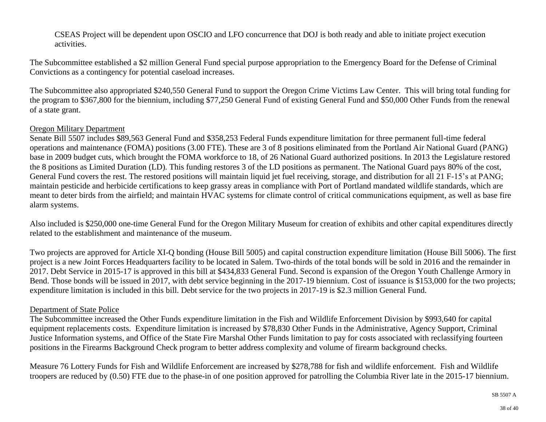CSEAS Project will be dependent upon OSCIO and LFO concurrence that DOJ is both ready and able to initiate project execution activities.

The Subcommittee established a \$2 million General Fund special purpose appropriation to the Emergency Board for the Defense of Criminal Convictions as a contingency for potential caseload increases.

The Subcommittee also appropriated \$240,550 General Fund to support the Oregon Crime Victims Law Center. This will bring total funding for the program to \$367,800 for the biennium, including \$77,250 General Fund of existing General Fund and \$50,000 Other Funds from the renewal of a state grant.

#### Oregon Military Department

Senate Bill 5507 includes \$89,563 General Fund and \$358,253 Federal Funds expenditure limitation for three permanent full-time federal operations and maintenance (FOMA) positions (3.00 FTE). These are 3 of 8 positions eliminated from the Portland Air National Guard (PANG) base in 2009 budget cuts, which brought the FOMA workforce to 18, of 26 National Guard authorized positions. In 2013 the Legislature restored the 8 positions as Limited Duration (LD). This funding restores 3 of the LD positions as permanent. The National Guard pays 80% of the cost, General Fund covers the rest. The restored positions will maintain liquid jet fuel receiving, storage, and distribution for all 21 F-15's at PANG; maintain pesticide and herbicide certifications to keep grassy areas in compliance with Port of Portland mandated wildlife standards, which are meant to deter birds from the airfield; and maintain HVAC systems for climate control of critical communications equipment, as well as base fire alarm systems.

Also included is \$250,000 one-time General Fund for the Oregon Military Museum for creation of exhibits and other capital expenditures directly related to the establishment and maintenance of the museum.

Two projects are approved for Article XI-Q bonding (House Bill 5005) and capital construction expenditure limitation (House Bill 5006). The first project is a new Joint Forces Headquarters facility to be located in Salem. Two-thirds of the total bonds will be sold in 2016 and the remainder in 2017. Debt Service in 2015-17 is approved in this bill at \$434,833 General Fund. Second is expansion of the Oregon Youth Challenge Armory in Bend. Those bonds will be issued in 2017, with debt service beginning in the 2017-19 biennium. Cost of issuance is \$153,000 for the two projects; expenditure limitation is included in this bill. Debt service for the two projects in 2017-19 is \$2.3 million General Fund.

#### Department of State Police

The Subcommittee increased the Other Funds expenditure limitation in the Fish and Wildlife Enforcement Division by \$993,640 for capital equipment replacements costs. Expenditure limitation is increased by \$78,830 Other Funds in the Administrative, Agency Support, Criminal Justice Information systems, and Office of the State Fire Marshal Other Funds limitation to pay for costs associated with reclassifying fourteen positions in the Firearms Background Check program to better address complexity and volume of firearm background checks.

Measure 76 Lottery Funds for Fish and Wildlife Enforcement are increased by \$278,788 for fish and wildlife enforcement. Fish and Wildlife troopers are reduced by (0.50) FTE due to the phase-in of one position approved for patrolling the Columbia River late in the 2015-17 biennium.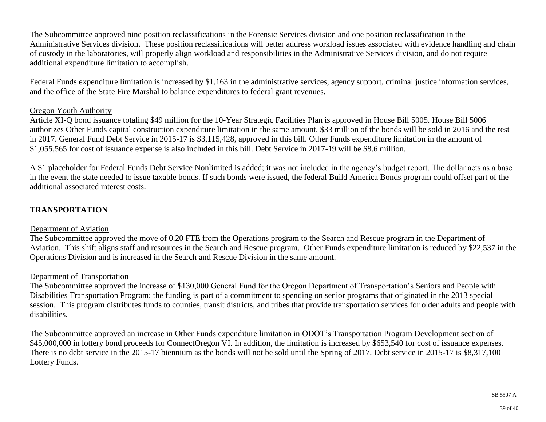The Subcommittee approved nine position reclassifications in the Forensic Services division and one position reclassification in the Administrative Services division. These position reclassifications will better address workload issues associated with evidence handling and chain of custody in the laboratories, will properly align workload and responsibilities in the Administrative Services division, and do not require additional expenditure limitation to accomplish.

Federal Funds expenditure limitation is increased by \$1,163 in the administrative services, agency support, criminal justice information services, and the office of the State Fire Marshal to balance expenditures to federal grant revenues.

#### Oregon Youth Authority

Article XI-Q bond issuance totaling \$49 million for the 10-Year Strategic Facilities Plan is approved in House Bill 5005. House Bill 5006 authorizes Other Funds capital construction expenditure limitation in the same amount. \$33 million of the bonds will be sold in 2016 and the rest in 2017. General Fund Debt Service in 2015-17 is \$3,115,428, approved in this bill. Other Funds expenditure limitation in the amount of \$1,055,565 for cost of issuance expense is also included in this bill. Debt Service in 2017-19 will be \$8.6 million.

A \$1 placeholder for Federal Funds Debt Service Nonlimited is added; it was not included in the agency's budget report. The dollar acts as a base in the event the state needed to issue taxable bonds. If such bonds were issued, the federal Build America Bonds program could offset part of the additional associated interest costs.

## **TRANSPORTATION**

#### Department of Aviation

The Subcommittee approved the move of 0.20 FTE from the Operations program to the Search and Rescue program in the Department of Aviation. This shift aligns staff and resources in the Search and Rescue program. Other Funds expenditure limitation is reduced by \$22,537 in the Operations Division and is increased in the Search and Rescue Division in the same amount.

#### Department of Transportation

The Subcommittee approved the increase of \$130,000 General Fund for the Oregon Department of Transportation's Seniors and People with Disabilities Transportation Program; the funding is part of a commitment to spending on senior programs that originated in the 2013 special session. This program distributes funds to counties, transit districts, and tribes that provide transportation services for older adults and people with disabilities.

The Subcommittee approved an increase in Other Funds expenditure limitation in ODOT's Transportation Program Development section of \$45,000,000 in lottery bond proceeds for ConnectOregon VI. In addition, the limitation is increased by \$653,540 for cost of issuance expenses. There is no debt service in the 2015-17 biennium as the bonds will not be sold until the Spring of 2017. Debt service in 2015-17 is \$8,317,100 Lottery Funds.